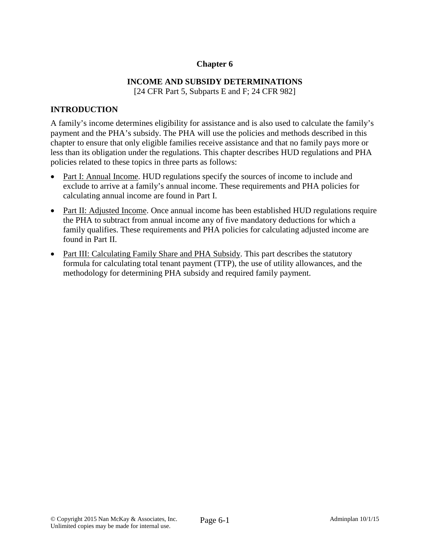# **Chapter 6**

# **INCOME AND SUBSIDY DETERMINATIONS**

[24 CFR Part 5, Subparts E and F; 24 CFR 982]

## **INTRODUCTION**

A family's income determines eligibility for assistance and is also used to calculate the family's payment and the PHA's subsidy. The PHA will use the policies and methods described in this chapter to ensure that only eligible families receive assistance and that no family pays more or less than its obligation under the regulations. This chapter describes HUD regulations and PHA policies related to these topics in three parts as follows:

- Part I: Annual Income. HUD regulations specify the sources of income to include and exclude to arrive at a family's annual income. These requirements and PHA policies for calculating annual income are found in Part I.
- Part II: Adjusted Income. Once annual income has been established HUD regulations require the PHA to subtract from annual income any of five mandatory deductions for which a family qualifies. These requirements and PHA policies for calculating adjusted income are found in Part II.
- Part III: Calculating Family Share and PHA Subsidy. This part describes the statutory formula for calculating total tenant payment (TTP), the use of utility allowances, and the methodology for determining PHA subsidy and required family payment.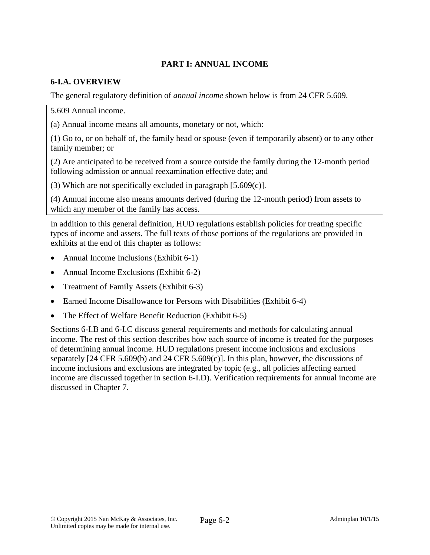# **PART I: ANNUAL INCOME**

# **6-I.A. OVERVIEW**

The general regulatory definition of *annual income* shown below is from 24 CFR 5.609.

5.609 Annual income.

(a) Annual income means all amounts, monetary or not, which:

(1) Go to, or on behalf of, the family head or spouse (even if temporarily absent) or to any other family member; or

(2) Are anticipated to be received from a source outside the family during the 12-month period following admission or annual reexamination effective date; and

(3) Which are not specifically excluded in paragraph [5.609(c)].

(4) Annual income also means amounts derived (during the 12-month period) from assets to which any member of the family has access.

In addition to this general definition, HUD regulations establish policies for treating specific types of income and assets. The full texts of those portions of the regulations are provided in exhibits at the end of this chapter as follows:

- Annual Income Inclusions (Exhibit 6-1)
- Annual Income Exclusions (Exhibit 6-2)
- Treatment of Family Assets (Exhibit 6-3)
- Earned Income Disallowance for Persons with Disabilities (Exhibit 6-4)
- The Effect of Welfare Benefit Reduction (Exhibit 6-5)

Sections 6-I.B and 6-I.C discuss general requirements and methods for calculating annual income. The rest of this section describes how each source of income is treated for the purposes of determining annual income. HUD regulations present income inclusions and exclusions separately [24 CFR 5.609(b) and 24 CFR 5.609(c)]. In this plan, however, the discussions of income inclusions and exclusions are integrated by topic (e.g., all policies affecting earned income are discussed together in section 6-I.D). Verification requirements for annual income are discussed in Chapter 7.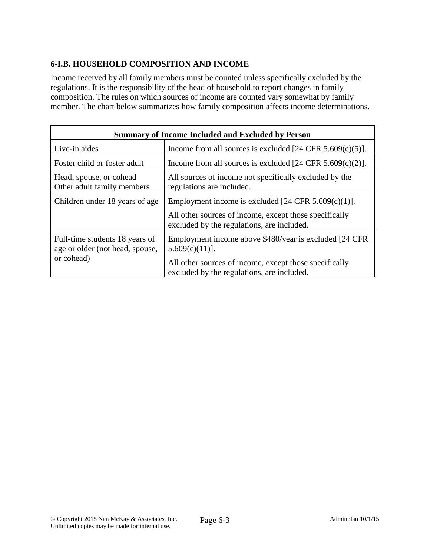# **6-I.B. HOUSEHOLD COMPOSITION AND INCOME**

Income received by all family members must be counted unless specifically excluded by the regulations. It is the responsibility of the head of household to report changes in family composition. The rules on which sources of income are counted vary somewhat by family member. The chart below summarizes how family composition affects income determinations.

| <b>Summary of Income Included and Excluded by Person</b>                        |                                                                                                      |  |  |  |
|---------------------------------------------------------------------------------|------------------------------------------------------------------------------------------------------|--|--|--|
| Live-in aides                                                                   | Income from all sources is excluded $[24 \text{ CFR } 5.609(c)(5)].$                                 |  |  |  |
| Foster child or foster adult                                                    | Income from all sources is excluded $[24 \text{ CFR } 5.609(c)(2)].$                                 |  |  |  |
| Head, spouse, or cohead<br>Other adult family members                           | All sources of income not specifically excluded by the<br>regulations are included.                  |  |  |  |
| Children under 18 years of age                                                  | Employment income is excluded $[24 \text{ CFR } 5.609(c)(1)].$                                       |  |  |  |
|                                                                                 | All other sources of income, except those specifically<br>excluded by the regulations, are included. |  |  |  |
| Full-time students 18 years of<br>age or older (not head, spouse,<br>or cohead) | Employment income above \$480/year is excluded [24 CFR]<br>$5.609(c)(11)$ ].                         |  |  |  |
|                                                                                 | All other sources of income, except those specifically<br>excluded by the regulations, are included. |  |  |  |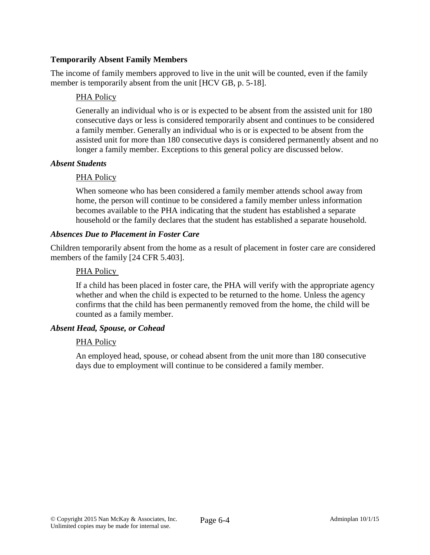## **Temporarily Absent Family Members**

The income of family members approved to live in the unit will be counted, even if the family member is temporarily absent from the unit [HCV GB, p. 5-18].

### PHA Policy

Generally an individual who is or is expected to be absent from the assisted unit for 180 consecutive days or less is considered temporarily absent and continues to be considered a family member. Generally an individual who is or is expected to be absent from the assisted unit for more than 180 consecutive days is considered permanently absent and no longer a family member. Exceptions to this general policy are discussed below.

#### *Absent Students*

### PHA Policy

When someone who has been considered a family member attends school away from home, the person will continue to be considered a family member unless information becomes available to the PHA indicating that the student has established a separate household or the family declares that the student has established a separate household.

### *Absences Due to Placement in Foster Care*

Children temporarily absent from the home as a result of placement in foster care are considered members of the family [24 CFR 5.403].

### PHA Policy

If a child has been placed in foster care, the PHA will verify with the appropriate agency whether and when the child is expected to be returned to the home. Unless the agency confirms that the child has been permanently removed from the home, the child will be counted as a family member.

## *Absent Head, Spouse, or Cohead*

#### PHA Policy

An employed head, spouse, or cohead absent from the unit more than 180 consecutive days due to employment will continue to be considered a family member.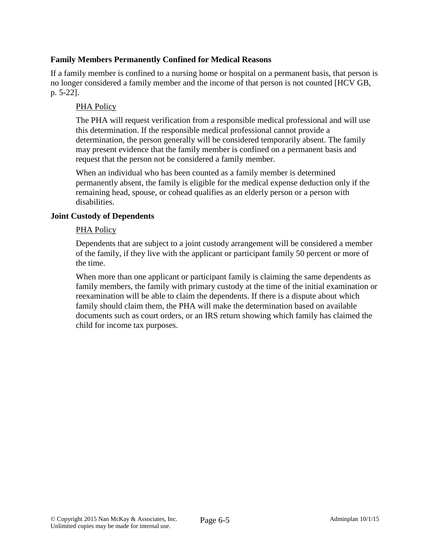## **Family Members Permanently Confined for Medical Reasons**

If a family member is confined to a nursing home or hospital on a permanent basis, that person is no longer considered a family member and the income of that person is not counted [HCV GB, p. 5-22].

# PHA Policy

The PHA will request verification from a responsible medical professional and will use this determination. If the responsible medical professional cannot provide a determination, the person generally will be considered temporarily absent. The family may present evidence that the family member is confined on a permanent basis and request that the person not be considered a family member.

When an individual who has been counted as a family member is determined permanently absent, the family is eligible for the medical expense deduction only if the remaining head, spouse, or cohead qualifies as an elderly person or a person with disabilities.

## **Joint Custody of Dependents**

### PHA Policy

Dependents that are subject to a joint custody arrangement will be considered a member of the family, if they live with the applicant or participant family 50 percent or more of the time.

When more than one applicant or participant family is claiming the same dependents as family members, the family with primary custody at the time of the initial examination or reexamination will be able to claim the dependents. If there is a dispute about which family should claim them, the PHA will make the determination based on available documents such as court orders, or an IRS return showing which family has claimed the child for income tax purposes.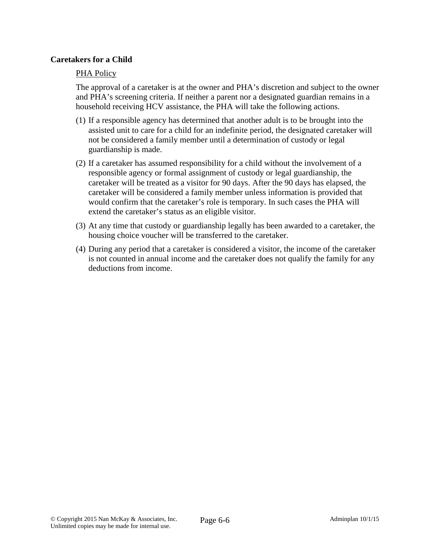## **Caretakers for a Child**

#### PHA Policy

The approval of a caretaker is at the owner and PHA's discretion and subject to the owner and PHA's screening criteria. If neither a parent nor a designated guardian remains in a household receiving HCV assistance, the PHA will take the following actions.

- (1) If a responsible agency has determined that another adult is to be brought into the assisted unit to care for a child for an indefinite period, the designated caretaker will not be considered a family member until a determination of custody or legal guardianship is made.
- (2) If a caretaker has assumed responsibility for a child without the involvement of a responsible agency or formal assignment of custody or legal guardianship, the caretaker will be treated as a visitor for 90 days. After the 90 days has elapsed, the caretaker will be considered a family member unless information is provided that would confirm that the caretaker's role is temporary. In such cases the PHA will extend the caretaker's status as an eligible visitor.
- (3) At any time that custody or guardianship legally has been awarded to a caretaker, the housing choice voucher will be transferred to the caretaker.
- (4) During any period that a caretaker is considered a visitor, the income of the caretaker is not counted in annual income and the caretaker does not qualify the family for any deductions from income.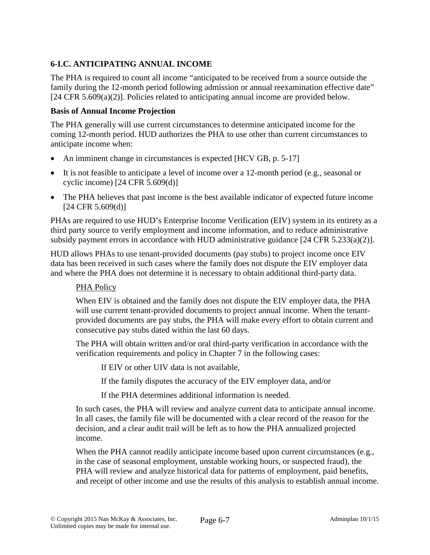# **6-I.C. ANTICIPATING ANNUAL INCOME**

The PHA is required to count all income "anticipated to be received from a source outside the family during the 12-month period following admission or annual reexamination effective date" [24 CFR 5.609(a)(2)]. Policies related to anticipating annual income are provided below.

### **Basis of Annual Income Projection**

The PHA generally will use current circumstances to determine anticipated income for the coming 12-month period. HUD authorizes the PHA to use other than current circumstances to anticipate income when:

- An imminent change in circumstances is expected [HCV GB, p. 5-17]
- It is not feasible to anticipate a level of income over a 12-month period (e.g., seasonal or cyclic income) [24 CFR 5.609(d)]
- The PHA believes that past income is the best available indicator of expected future income  $[24 \text{ CFR } 5.609(d)]$

PHAs are required to use HUD's Enterprise Income Verification (EIV) system in its entirety as a third party source to verify employment and income information, and to reduce administrative subsidy payment errors in accordance with HUD administrative guidance [24 CFR 5.233(a)(2)].

HUD allows PHAs to use tenant-provided documents (pay stubs) to project income once EIV data has been received in such cases where the family does not dispute the EIV employer data and where the PHA does not determine it is necessary to obtain additional third-party data.

## PHA Policy

When EIV is obtained and the family does not dispute the EIV employer data, the PHA will use current tenant-provided documents to project annual income. When the tenantprovided documents are pay stubs, the PHA will make every effort to obtain current and consecutive pay stubs dated within the last 60 days.

The PHA will obtain written and/or oral third-party verification in accordance with the verification requirements and policy in Chapter 7 in the following cases:

If EIV or other UIV data is not available,

If the family disputes the accuracy of the EIV employer data, and/or

If the PHA determines additional information is needed.

In such cases, the PHA will review and analyze current data to anticipate annual income. In all cases, the family file will be documented with a clear record of the reason for the decision, and a clear audit trail will be left as to how the PHA annualized projected income.

When the PHA cannot readily anticipate income based upon current circumstances (e.g., in the case of seasonal employment, unstable working hours, or suspected fraud), the PHA will review and analyze historical data for patterns of employment, paid benefits, and receipt of other income and use the results of this analysis to establish annual income.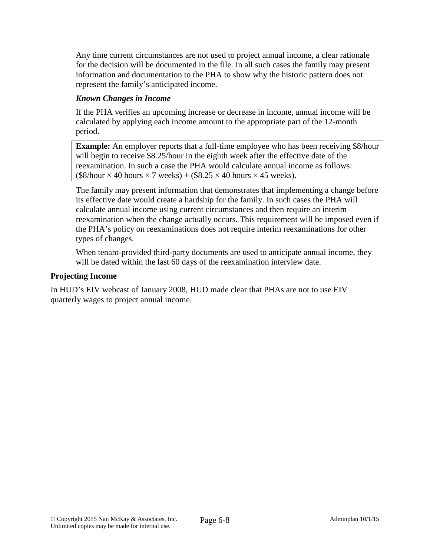Any time current circumstances are not used to project annual income, a clear rationale for the decision will be documented in the file. In all such cases the family may present information and documentation to the PHA to show why the historic pattern does not represent the family's anticipated income.

# *Known Changes in Income*

If the PHA verifies an upcoming increase or decrease in income, annual income will be calculated by applying each income amount to the appropriate part of the 12-month period.

**Example:** An employer reports that a full-time employee who has been receiving \$8/hour will begin to receive \$8.25/hour in the eighth week after the effective date of the reexamination. In such a case the PHA would calculate annual income as follows:  $($8/hour \times 40 hours \times 7 weeks) + ($8.25 \times 40 hours \times 45 weeks).$ 

The family may present information that demonstrates that implementing a change before its effective date would create a hardship for the family. In such cases the PHA will calculate annual income using current circumstances and then require an interim reexamination when the change actually occurs. This requirement will be imposed even if the PHA's policy on reexaminations does not require interim reexaminations for other types of changes.

When tenant-provided third-party documents are used to anticipate annual income, they will be dated within the last 60 days of the reexamination interview date.

### **Projecting Income**

In HUD's EIV webcast of January 2008, HUD made clear that PHAs are not to use EIV quarterly wages to project annual income.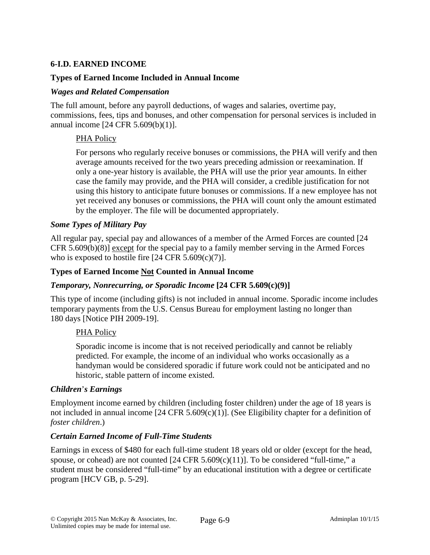# **6-I.D. EARNED INCOME**

## **Types of Earned Income Included in Annual Income**

### *Wages and Related Compensation*

The full amount, before any payroll deductions, of wages and salaries, overtime pay, commissions, fees, tips and bonuses, and other compensation for personal services is included in annual income [24 CFR 5.609(b)(1)].

### PHA Policy

For persons who regularly receive bonuses or commissions, the PHA will verify and then average amounts received for the two years preceding admission or reexamination. If only a one-year history is available, the PHA will use the prior year amounts. In either case the family may provide, and the PHA will consider, a credible justification for not using this history to anticipate future bonuses or commissions. If a new employee has not yet received any bonuses or commissions, the PHA will count only the amount estimated by the employer. The file will be documented appropriately.

### *Some Types of Military Pay*

All regular pay, special pay and allowances of a member of the Armed Forces are counted [24 CFR 5.609(b)(8)] except for the special pay to a family member serving in the Armed Forces who is exposed to hostile fire  $[24 \text{ CFR } 5.609 \text{ (c)}(7)]$ .

### **Types of Earned Income Not Counted in Annual Income**

#### *Temporary, Nonrecurring, or Sporadic Income* **[24 CFR 5.609(c)(9)]**

This type of income (including gifts) is not included in annual income. Sporadic income includes temporary payments from the U.S. Census Bureau for employment lasting no longer than 180 days [Notice PIH 2009-19].

#### PHA Policy

Sporadic income is income that is not received periodically and cannot be reliably predicted. For example, the income of an individual who works occasionally as a handyman would be considered sporadic if future work could not be anticipated and no historic, stable pattern of income existed.

#### *Children*'*s Earnings*

Employment income earned by children (including foster children) under the age of 18 years is not included in annual income [24 CFR 5.609(c)(1)]. (See Eligibility chapter for a definition of *foster children*.)

#### *Certain Earned Income of Full-Time Students*

Earnings in excess of \$480 for each full-time student 18 years old or older (except for the head, spouse, or cohead) are not counted  $[24 \text{ CFR } 5.609(c)(11)]$ . To be considered "full-time," a student must be considered "full-time" by an educational institution with a degree or certificate program [HCV GB, p. 5-29].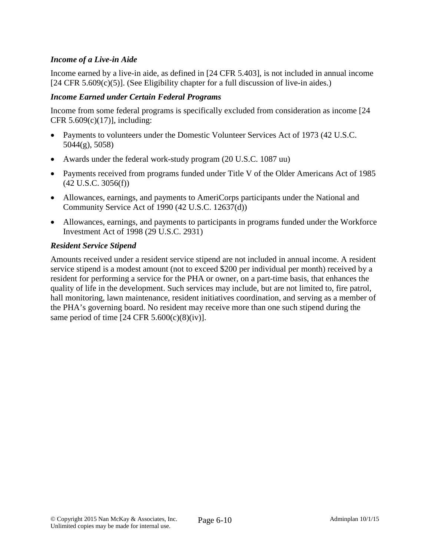## *Income of a Live-in Aide*

Income earned by a live-in aide, as defined in [24 CFR 5.403], is not included in annual income  $[24 \text{ CFR } 5.609(c)(5)]$ . (See Eligibility chapter for a full discussion of live-in aides.)

### *Income Earned under Certain Federal Programs*

Income from some federal programs is specifically excluded from consideration as income [24 CFR  $5.609(c)(17)$ ], including:

- Payments to volunteers under the Domestic Volunteer Services Act of 1973 (42 U.S.C. 5044(g), 5058)
- Awards under the federal work-study program (20 U.S.C. 1087 uu)
- Payments received from programs funded under Title V of the Older Americans Act of 1985 (42 U.S.C. 3056(f))
- Allowances, earnings, and payments to AmeriCorps participants under the National and Community Service Act of 1990 (42 U.S.C. 12637(d))
- Allowances, earnings, and payments to participants in programs funded under the Workforce Investment Act of 1998 (29 U.S.C. 2931)

### *Resident Service Stipend*

Amounts received under a resident service stipend are not included in annual income. A resident service stipend is a modest amount (not to exceed \$200 per individual per month) received by a resident for performing a service for the PHA or owner, on a part-time basis, that enhances the quality of life in the development. Such services may include, but are not limited to, fire patrol, hall monitoring, lawn maintenance, resident initiatives coordination, and serving as a member of the PHA's governing board. No resident may receive more than one such stipend during the same period of time  $[24 \text{ CFR } 5.600(c)(8)(iv)].$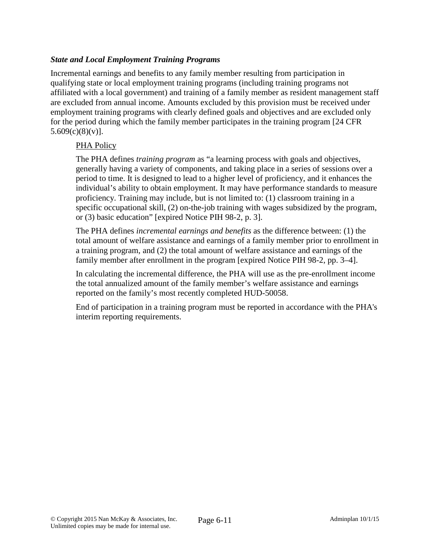# *State and Local Employment Training Programs*

Incremental earnings and benefits to any family member resulting from participation in qualifying state or local employment training programs (including training programs not affiliated with a local government) and training of a family member as resident management staff are excluded from annual income. Amounts excluded by this provision must be received under employment training programs with clearly defined goals and objectives and are excluded only for the period during which the family member participates in the training program [24 CFR  $5.609(c)(8)(v)$ ].

## PHA Policy

The PHA defines *training program* as "a learning process with goals and objectives, generally having a variety of components, and taking place in a series of sessions over a period to time. It is designed to lead to a higher level of proficiency, and it enhances the individual's ability to obtain employment. It may have performance standards to measure proficiency. Training may include, but is not limited to: (1) classroom training in a specific occupational skill, (2) on-the-job training with wages subsidized by the program, or (3) basic education" [expired Notice PIH 98-2, p. 3].

The PHA defines *incremental earnings and benefits* as the difference between: (1) the total amount of welfare assistance and earnings of a family member prior to enrollment in a training program, and (2) the total amount of welfare assistance and earnings of the family member after enrollment in the program [expired Notice PIH 98-2, pp. 3–4].

In calculating the incremental difference, the PHA will use as the pre-enrollment income the total annualized amount of the family member's welfare assistance and earnings reported on the family's most recently completed HUD-50058.

End of participation in a training program must be reported in accordance with the PHA's interim reporting requirements.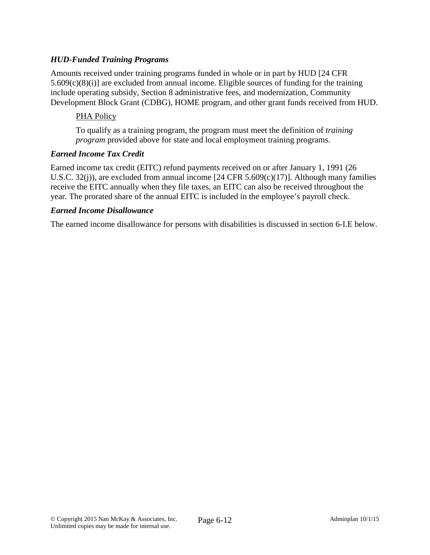## *HUD-Funded Training Programs*

Amounts received under training programs funded in whole or in part by HUD [24 CFR 5.609(c)(8)(i)] are excluded from annual income. Eligible sources of funding for the training include operating subsidy, Section 8 administrative fees, and modernization, Community Development Block Grant (CDBG), HOME program, and other grant funds received from HUD.

## PHA Policy

To qualify as a training program, the program must meet the definition of *training program* provided above for state and local employment training programs.

### *Earned Income Tax Credit*

Earned income tax credit (EITC) refund payments received on or after January 1, 1991 (26 U.S.C. 32(j)), are excluded from annual income [24 CFR 5.609(c)(17)]. Although many families receive the EITC annually when they file taxes, an EITC can also be received throughout the year. The prorated share of the annual EITC is included in the employee's payroll check.

#### *Earned Income Disallowance*

The earned income disallowance for persons with disabilities is discussed in section 6-I.E below.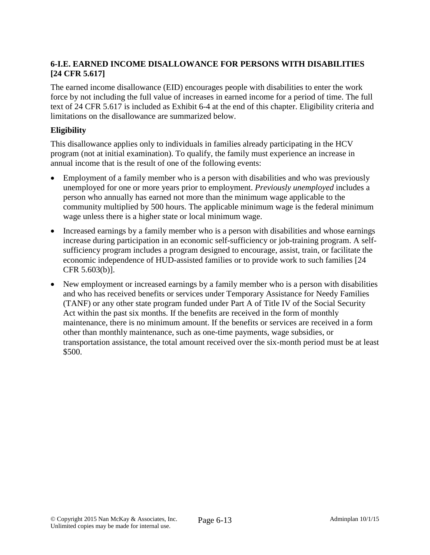# **6-I.E. EARNED INCOME DISALLOWANCE FOR PERSONS WITH DISABILITIES [24 CFR 5.617]**

The earned income disallowance (EID) encourages people with disabilities to enter the work force by not including the full value of increases in earned income for a period of time. The full text of 24 CFR 5.617 is included as Exhibit 6-4 at the end of this chapter. Eligibility criteria and limitations on the disallowance are summarized below.

# **Eligibility**

This disallowance applies only to individuals in families already participating in the HCV program (not at initial examination). To qualify, the family must experience an increase in annual income that is the result of one of the following events:

- Employment of a family member who is a person with disabilities and who was previously unemployed for one or more years prior to employment. *Previously unemployed* includes a person who annually has earned not more than the minimum wage applicable to the community multiplied by 500 hours. The applicable minimum wage is the federal minimum wage unless there is a higher state or local minimum wage.
- Increased earnings by a family member who is a person with disabilities and whose earnings increase during participation in an economic self-sufficiency or job-training program. A selfsufficiency program includes a program designed to encourage, assist, train, or facilitate the economic independence of HUD-assisted families or to provide work to such families [24 CFR 5.603(b)].
- New employment or increased earnings by a family member who is a person with disabilities and who has received benefits or services under Temporary Assistance for Needy Families (TANF) or any other state program funded under Part A of Title IV of the Social Security Act within the past six months. If the benefits are received in the form of monthly maintenance, there is no minimum amount. If the benefits or services are received in a form other than monthly maintenance, such as one-time payments, wage subsidies, or transportation assistance, the total amount received over the six-month period must be at least \$500.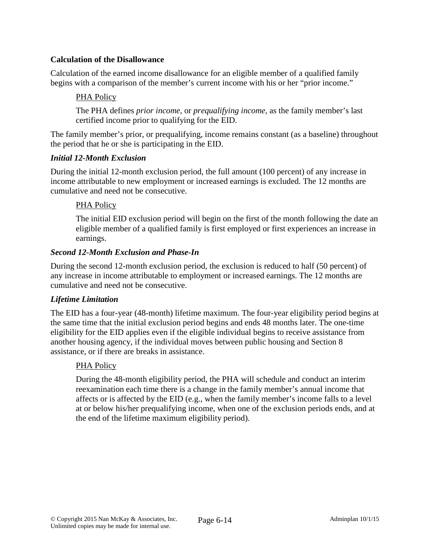## **Calculation of the Disallowance**

Calculation of the earned income disallowance for an eligible member of a qualified family begins with a comparison of the member's current income with his or her "prior income."

# PHA Policy

The PHA defines *prior income,* or *prequalifying income,* as the family member's last certified income prior to qualifying for the EID.

The family member's prior, or prequalifying, income remains constant (as a baseline) throughout the period that he or she is participating in the EID.

## *Initial 12-Month Exclusion*

During the initial 12-month exclusion period, the full amount (100 percent) of any increase in income attributable to new employment or increased earnings is excluded. The 12 months are cumulative and need not be consecutive.

# PHA Policy

The initial EID exclusion period will begin on the first of the month following the date an eligible member of a qualified family is first employed or first experiences an increase in earnings.

## *Second 12-Month Exclusion and Phase-In*

During the second 12-month exclusion period, the exclusion is reduced to half (50 percent) of any increase in income attributable to employment or increased earnings. The 12 months are cumulative and need not be consecutive.

## *Lifetime Limitation*

The EID has a four-year (48-month) lifetime maximum. The four-year eligibility period begins at the same time that the initial exclusion period begins and ends 48 months later. The one-time eligibility for the EID applies even if the eligible individual begins to receive assistance from another housing agency, if the individual moves between public housing and Section 8 assistance, or if there are breaks in assistance.

## PHA Policy

During the 48-month eligibility period, the PHA will schedule and conduct an interim reexamination each time there is a change in the family member's annual income that affects or is affected by the EID (e.g., when the family member's income falls to a level at or below his/her prequalifying income, when one of the exclusion periods ends, and at the end of the lifetime maximum eligibility period).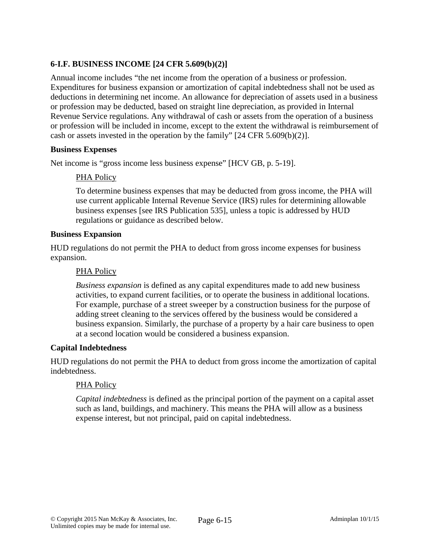# **6-I.F. BUSINESS INCOME [24 CFR 5.609(b)(2)]**

Annual income includes "the net income from the operation of a business or profession. Expenditures for business expansion or amortization of capital indebtedness shall not be used as deductions in determining net income. An allowance for depreciation of assets used in a business or profession may be deducted, based on straight line depreciation, as provided in Internal Revenue Service regulations. Any withdrawal of cash or assets from the operation of a business or profession will be included in income, except to the extent the withdrawal is reimbursement of cash or assets invested in the operation by the family" [24 CFR 5.609(b)(2)].

### **Business Expenses**

Net income is "gross income less business expense" [HCV GB, p. 5-19].

## PHA Policy

To determine business expenses that may be deducted from gross income, the PHA will use current applicable Internal Revenue Service (IRS) rules for determining allowable business expenses [see IRS Publication 535], unless a topic is addressed by HUD regulations or guidance as described below.

### **Business Expansion**

HUD regulations do not permit the PHA to deduct from gross income expenses for business expansion.

## PHA Policy

*Business expansion* is defined as any capital expenditures made to add new business activities, to expand current facilities, or to operate the business in additional locations. For example, purchase of a street sweeper by a construction business for the purpose of adding street cleaning to the services offered by the business would be considered a business expansion. Similarly, the purchase of a property by a hair care business to open at a second location would be considered a business expansion.

## **Capital Indebtedness**

HUD regulations do not permit the PHA to deduct from gross income the amortization of capital indebtedness.

#### PHA Policy

*Capital indebtedness* is defined as the principal portion of the payment on a capital asset such as land, buildings, and machinery. This means the PHA will allow as a business expense interest, but not principal, paid on capital indebtedness.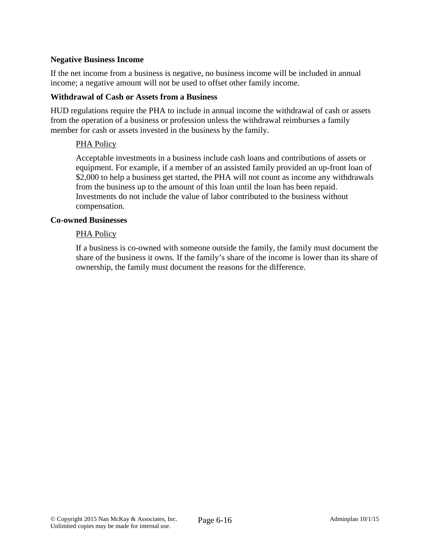### **Negative Business Income**

If the net income from a business is negative, no business income will be included in annual income; a negative amount will not be used to offset other family income.

#### **Withdrawal of Cash or Assets from a Business**

HUD regulations require the PHA to include in annual income the withdrawal of cash or assets from the operation of a business or profession unless the withdrawal reimburses a family member for cash or assets invested in the business by the family.

### PHA Policy

Acceptable investments in a business include cash loans and contributions of assets or equipment. For example, if a member of an assisted family provided an up-front loan of \$2,000 to help a business get started, the PHA will not count as income any withdrawals from the business up to the amount of this loan until the loan has been repaid. Investments do not include the value of labor contributed to the business without compensation.

#### **Co-owned Businesses**

#### PHA Policy

If a business is co-owned with someone outside the family, the family must document the share of the business it owns. If the family's share of the income is lower than its share of ownership, the family must document the reasons for the difference.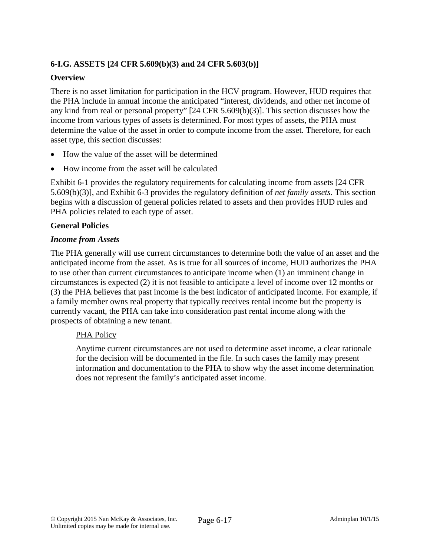# **6-I.G. ASSETS [24 CFR 5.609(b)(3) and 24 CFR 5.603(b)]**

## **Overview**

There is no asset limitation for participation in the HCV program. However, HUD requires that the PHA include in annual income the anticipated "interest, dividends, and other net income of any kind from real or personal property" [24 CFR 5.609(b)(3)]. This section discusses how the income from various types of assets is determined. For most types of assets, the PHA must determine the value of the asset in order to compute income from the asset. Therefore, for each asset type, this section discusses:

- How the value of the asset will be determined
- How income from the asset will be calculated

Exhibit 6-1 provides the regulatory requirements for calculating income from assets [24 CFR 5.609(b)(3)], and Exhibit 6-3 provides the regulatory definition of *net family assets*. This section begins with a discussion of general policies related to assets and then provides HUD rules and PHA policies related to each type of asset.

### **General Policies**

#### *Income from Assets*

The PHA generally will use current circumstances to determine both the value of an asset and the anticipated income from the asset. As is true for all sources of income, HUD authorizes the PHA to use other than current circumstances to anticipate income when (1) an imminent change in circumstances is expected (2) it is not feasible to anticipate a level of income over 12 months or (3) the PHA believes that past income is the best indicator of anticipated income. For example, if a family member owns real property that typically receives rental income but the property is currently vacant, the PHA can take into consideration past rental income along with the prospects of obtaining a new tenant.

#### PHA Policy

Anytime current circumstances are not used to determine asset income, a clear rationale for the decision will be documented in the file. In such cases the family may present information and documentation to the PHA to show why the asset income determination does not represent the family's anticipated asset income.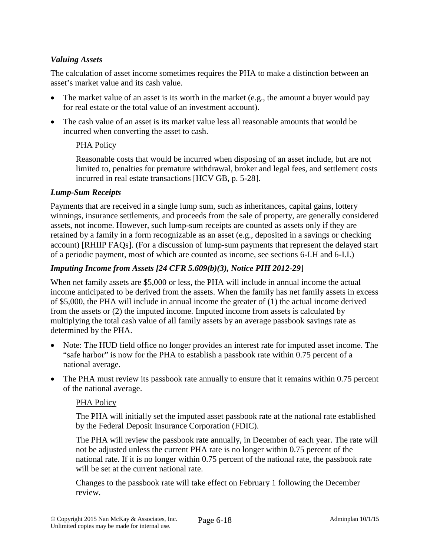# *Valuing Assets*

The calculation of asset income sometimes requires the PHA to make a distinction between an asset's market value and its cash value.

- The market value of an asset is its worth in the market (e.g., the amount a buyer would pay for real estate or the total value of an investment account).
- The cash value of an asset is its market value less all reasonable amounts that would be incurred when converting the asset to cash.

## PHA Policy

Reasonable costs that would be incurred when disposing of an asset include, but are not limited to, penalties for premature withdrawal, broker and legal fees, and settlement costs incurred in real estate transactions [HCV GB, p. 5-28].

## *Lump-Sum Receipts*

Payments that are received in a single lump sum, such as inheritances, capital gains, lottery winnings, insurance settlements, and proceeds from the sale of property, are generally considered assets, not income. However, such lump-sum receipts are counted as assets only if they are retained by a family in a form recognizable as an asset (e.g., deposited in a savings or checking account) [RHIIP FAQs]. (For a discussion of lump-sum payments that represent the delayed start of a periodic payment, most of which are counted as income, see sections 6-I.H and 6-I.I.)

# *Imputing Income from Assets [24 CFR 5.609(b)(3), Notice PIH 2012-29*]

When net family assets are \$5,000 or less, the PHA will include in annual income the actual income anticipated to be derived from the assets. When the family has net family assets in excess of \$5,000, the PHA will include in annual income the greater of (1) the actual income derived from the assets or (2) the imputed income. Imputed income from assets is calculated by multiplying the total cash value of all family assets by an average passbook savings rate as determined by the PHA.

- Note: The HUD field office no longer provides an interest rate for imputed asset income. The "safe harbor" is now for the PHA to establish a passbook rate within 0.75 percent of a national average.
- The PHA must review its passbook rate annually to ensure that it remains within 0.75 percent of the national average.

## PHA Policy

The PHA will initially set the imputed asset passbook rate at the national rate established by the Federal Deposit Insurance Corporation (FDIC).

The PHA will review the passbook rate annually, in December of each year. The rate will not be adjusted unless the current PHA rate is no longer within 0.75 percent of the national rate. If it is no longer within 0.75 percent of the national rate, the passbook rate will be set at the current national rate.

Changes to the passbook rate will take effect on February 1 following the December review.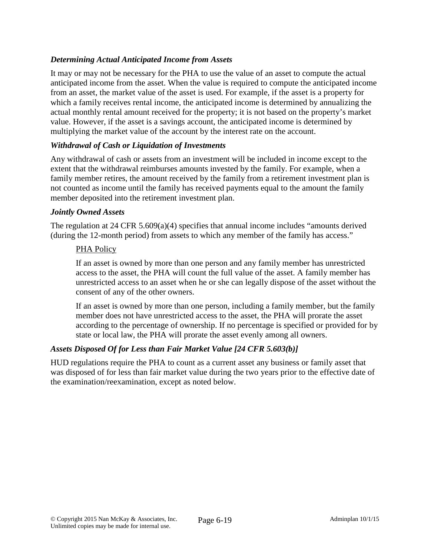# *Determining Actual Anticipated Income from Assets*

It may or may not be necessary for the PHA to use the value of an asset to compute the actual anticipated income from the asset. When the value is required to compute the anticipated income from an asset, the market value of the asset is used. For example, if the asset is a property for which a family receives rental income, the anticipated income is determined by annualizing the actual monthly rental amount received for the property; it is not based on the property's market value. However, if the asset is a savings account, the anticipated income is determined by multiplying the market value of the account by the interest rate on the account.

### *Withdrawal of Cash or Liquidation of Investments*

Any withdrawal of cash or assets from an investment will be included in income except to the extent that the withdrawal reimburses amounts invested by the family. For example, when a family member retires, the amount received by the family from a retirement investment plan is not counted as income until the family has received payments equal to the amount the family member deposited into the retirement investment plan.

#### *Jointly Owned Assets*

The regulation at 24 CFR 5.609(a)(4) specifies that annual income includes "amounts derived (during the 12-month period) from assets to which any member of the family has access."

#### PHA Policy

If an asset is owned by more than one person and any family member has unrestricted access to the asset, the PHA will count the full value of the asset. A family member has unrestricted access to an asset when he or she can legally dispose of the asset without the consent of any of the other owners.

If an asset is owned by more than one person, including a family member, but the family member does not have unrestricted access to the asset, the PHA will prorate the asset according to the percentage of ownership. If no percentage is specified or provided for by state or local law, the PHA will prorate the asset evenly among all owners.

## *Assets Disposed Of for Less than Fair Market Value [24 CFR 5.603(b)]*

HUD regulations require the PHA to count as a current asset any business or family asset that was disposed of for less than fair market value during the two years prior to the effective date of the examination/reexamination, except as noted below.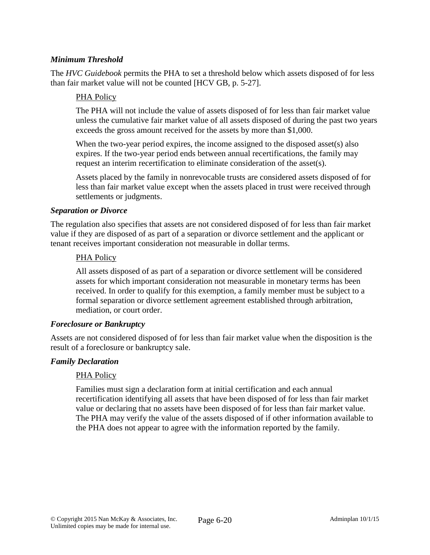## *Minimum Threshold*

The *HVC Guidebook* permits the PHA to set a threshold below which assets disposed of for less than fair market value will not be counted [HCV GB, p. 5-27].

## PHA Policy

The PHA will not include the value of assets disposed of for less than fair market value unless the cumulative fair market value of all assets disposed of during the past two years exceeds the gross amount received for the assets by more than \$1,000.

When the two-year period expires, the income assigned to the disposed asset(s) also expires. If the two-year period ends between annual recertifications, the family may request an interim recertification to eliminate consideration of the asset(s).

Assets placed by the family in nonrevocable trusts are considered assets disposed of for less than fair market value except when the assets placed in trust were received through settlements or judgments.

#### *Separation or Divorce*

The regulation also specifies that assets are not considered disposed of for less than fair market value if they are disposed of as part of a separation or divorce settlement and the applicant or tenant receives important consideration not measurable in dollar terms.

#### PHA Policy

All assets disposed of as part of a separation or divorce settlement will be considered assets for which important consideration not measurable in monetary terms has been received. In order to qualify for this exemption, a family member must be subject to a formal separation or divorce settlement agreement established through arbitration, mediation, or court order.

#### *Foreclosure or Bankruptcy*

Assets are not considered disposed of for less than fair market value when the disposition is the result of a foreclosure or bankruptcy sale.

## *Family Declaration*

#### PHA Policy

Families must sign a declaration form at initial certification and each annual recertification identifying all assets that have been disposed of for less than fair market value or declaring that no assets have been disposed of for less than fair market value. The PHA may verify the value of the assets disposed of if other information available to the PHA does not appear to agree with the information reported by the family.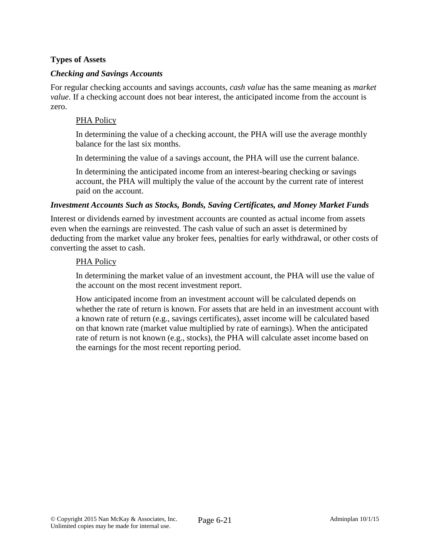## **Types of Assets**

## *Checking and Savings Accounts*

For regular checking accounts and savings accounts, *cash value* has the same meaning as *market value*. If a checking account does not bear interest, the anticipated income from the account is zero.

### PHA Policy

In determining the value of a checking account, the PHA will use the average monthly balance for the last six months.

In determining the value of a savings account, the PHA will use the current balance.

In determining the anticipated income from an interest-bearing checking or savings account, the PHA will multiply the value of the account by the current rate of interest paid on the account.

#### *Investment Accounts Such as Stocks, Bonds, Saving Certificates, and Money Market Funds*

Interest or dividends earned by investment accounts are counted as actual income from assets even when the earnings are reinvested. The cash value of such an asset is determined by deducting from the market value any broker fees, penalties for early withdrawal, or other costs of converting the asset to cash.

#### PHA Policy

In determining the market value of an investment account, the PHA will use the value of the account on the most recent investment report.

How anticipated income from an investment account will be calculated depends on whether the rate of return is known. For assets that are held in an investment account with a known rate of return (e.g., savings certificates), asset income will be calculated based on that known rate (market value multiplied by rate of earnings). When the anticipated rate of return is not known (e.g., stocks), the PHA will calculate asset income based on the earnings for the most recent reporting period.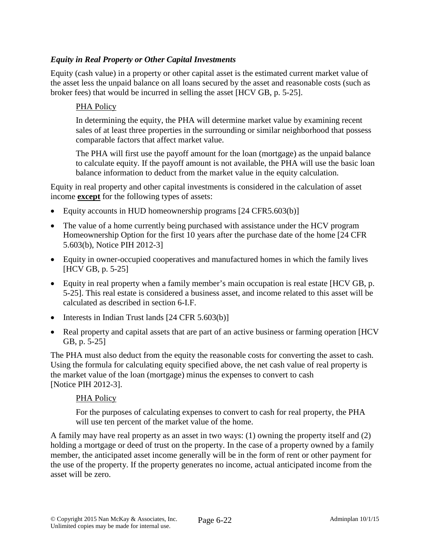# *Equity in Real Property or Other Capital Investments*

Equity (cash value) in a property or other capital asset is the estimated current market value of the asset less the unpaid balance on all loans secured by the asset and reasonable costs (such as broker fees) that would be incurred in selling the asset [HCV GB, p. 5-25].

## **PHA Policy**

In determining the equity, the PHA will determine market value by examining recent sales of at least three properties in the surrounding or similar neighborhood that possess comparable factors that affect market value.

The PHA will first use the payoff amount for the loan (mortgage) as the unpaid balance to calculate equity. If the payoff amount is not available, the PHA will use the basic loan balance information to deduct from the market value in the equity calculation.

Equity in real property and other capital investments is considered in the calculation of asset income **except** for the following types of assets:

- Equity accounts in HUD homeownership programs [24 CFR5.603(b)]
- The value of a home currently being purchased with assistance under the HCV program Homeownership Option for the first 10 years after the purchase date of the home [24 CFR 5.603(b), Notice PIH 2012-3]
- Equity in owner-occupied cooperatives and manufactured homes in which the family lives [HCV GB, p. 5-25]
- Equity in real property when a family member's main occupation is real estate [HCV GB, p. 5-25]. This real estate is considered a business asset, and income related to this asset will be calculated as described in section 6-I.F.
- Interests in Indian Trust lands [24 CFR 5.603(b)]
- Real property and capital assets that are part of an active business or farming operation [HCV] GB, p. 5-25]

The PHA must also deduct from the equity the reasonable costs for converting the asset to cash. Using the formula for calculating equity specified above, the net cash value of real property is the market value of the loan (mortgage) minus the expenses to convert to cash [Notice PIH 2012-3].

## PHA Policy

For the purposes of calculating expenses to convert to cash for real property, the PHA will use ten percent of the market value of the home.

A family may have real property as an asset in two ways: (1) owning the property itself and (2) holding a mortgage or deed of trust on the property. In the case of a property owned by a family member, the anticipated asset income generally will be in the form of rent or other payment for the use of the property. If the property generates no income, actual anticipated income from the asset will be zero.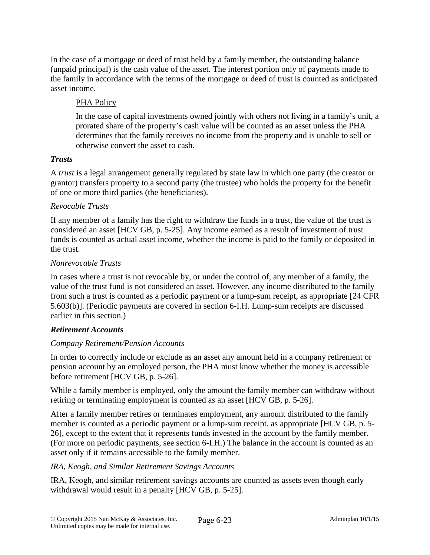In the case of a mortgage or deed of trust held by a family member, the outstanding balance (unpaid principal) is the cash value of the asset. The interest portion only of payments made to the family in accordance with the terms of the mortgage or deed of trust is counted as anticipated asset income.

# PHA Policy

In the case of capital investments owned jointly with others not living in a family's unit, a prorated share of the property's cash value will be counted as an asset unless the PHA determines that the family receives no income from the property and is unable to sell or otherwise convert the asset to cash.

## *Trusts*

A *trust* is a legal arrangement generally regulated by state law in which one party (the creator or grantor) transfers property to a second party (the trustee) who holds the property for the benefit of one or more third parties (the beneficiaries).

### *Revocable Trusts*

If any member of a family has the right to withdraw the funds in a trust, the value of the trust is considered an asset [HCV GB, p. 5-25]. Any income earned as a result of investment of trust funds is counted as actual asset income, whether the income is paid to the family or deposited in the trust.

### *Nonrevocable Trusts*

In cases where a trust is not revocable by, or under the control of, any member of a family, the value of the trust fund is not considered an asset. However, any income distributed to the family from such a trust is counted as a periodic payment or a lump-sum receipt, as appropriate [24 CFR 5.603(b)]. (Periodic payments are covered in section 6-I.H. Lump-sum receipts are discussed earlier in this section.)

## *Retirement Accounts*

## *Company Retirement/Pension Accounts*

In order to correctly include or exclude as an asset any amount held in a company retirement or pension account by an employed person, the PHA must know whether the money is accessible before retirement [HCV GB, p. 5-26].

While a family member is employed, only the amount the family member can withdraw without retiring or terminating employment is counted as an asset [HCV GB, p. 5-26].

After a family member retires or terminates employment, any amount distributed to the family member is counted as a periodic payment or a lump-sum receipt, as appropriate [HCV GB, p. 5- 26], except to the extent that it represents funds invested in the account by the family member. (For more on periodic payments, see section 6-I.H.) The balance in the account is counted as an asset only if it remains accessible to the family member.

## *IRA, Keogh, and Similar Retirement Savings Accounts*

IRA, Keogh, and similar retirement savings accounts are counted as assets even though early withdrawal would result in a penalty [HCV GB, p. 5-25].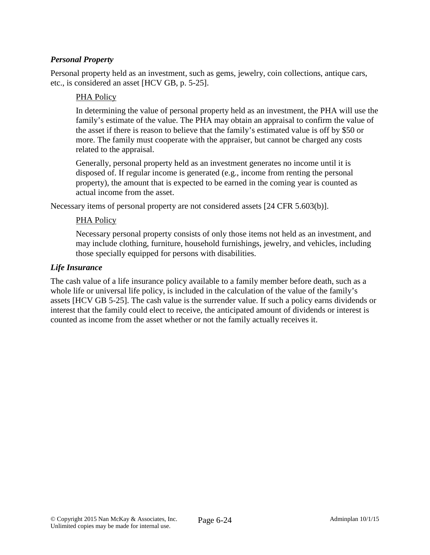# *Personal Property*

Personal property held as an investment, such as gems, jewelry, coin collections, antique cars, etc., is considered an asset [HCV GB, p. 5-25].

### PHA Policy

In determining the value of personal property held as an investment, the PHA will use the family's estimate of the value. The PHA may obtain an appraisal to confirm the value of the asset if there is reason to believe that the family's estimated value is off by \$50 or more. The family must cooperate with the appraiser, but cannot be charged any costs related to the appraisal.

Generally, personal property held as an investment generates no income until it is disposed of. If regular income is generated (e.g., income from renting the personal property), the amount that is expected to be earned in the coming year is counted as actual income from the asset.

Necessary items of personal property are not considered assets [24 CFR 5.603(b)].

### PHA Policy

Necessary personal property consists of only those items not held as an investment, and may include clothing, furniture, household furnishings, jewelry, and vehicles, including those specially equipped for persons with disabilities.

#### *Life Insurance*

The cash value of a life insurance policy available to a family member before death, such as a whole life or universal life policy, is included in the calculation of the value of the family's assets [HCV GB 5-25]. The cash value is the surrender value. If such a policy earns dividends or interest that the family could elect to receive, the anticipated amount of dividends or interest is counted as income from the asset whether or not the family actually receives it.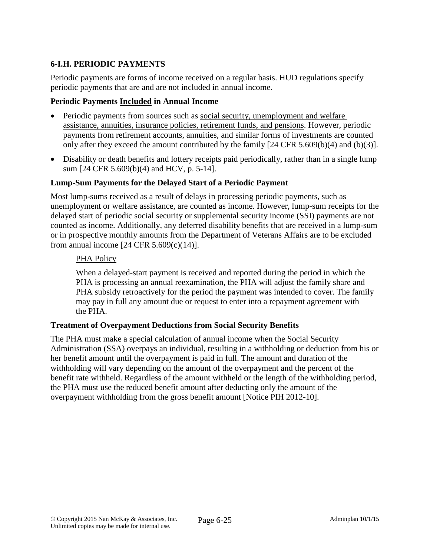# **6-I.H. PERIODIC PAYMENTS**

Periodic payments are forms of income received on a regular basis. HUD regulations specify periodic payments that are and are not included in annual income.

## **Periodic Payments Included in Annual Income**

- Periodic payments from sources such as social security, unemployment and welfare assistance, annuities, insurance policies, retirement funds, and pensions. However, periodic payments from retirement accounts, annuities, and similar forms of investments are counted only after they exceed the amount contributed by the family [24 CFR 5.609(b)(4) and (b)(3)].
- Disability or death benefits and lottery receipts paid periodically, rather than in a single lump sum [24 CFR 5.609(b)(4) and HCV, p. 5-14].

# **Lump-Sum Payments for the Delayed Start of a Periodic Payment**

Most lump-sums received as a result of delays in processing periodic payments, such as unemployment or welfare assistance, are counted as income. However, lump-sum receipts for the delayed start of periodic social security or supplemental security income (SSI) payments are not counted as income. Additionally, any deferred disability benefits that are received in a lump-sum or in prospective monthly amounts from the Department of Veterans Affairs are to be excluded from annual income [24 CFR 5.609(c)(14)].

## PHA Policy

When a delayed-start payment is received and reported during the period in which the PHA is processing an annual reexamination, the PHA will adjust the family share and PHA subsidy retroactively for the period the payment was intended to cover. The family may pay in full any amount due or request to enter into a repayment agreement with the PHA.

## **Treatment of Overpayment Deductions from Social Security Benefits**

The PHA must make a special calculation of annual income when the Social Security Administration (SSA) overpays an individual, resulting in a withholding or deduction from his or her benefit amount until the overpayment is paid in full. The amount and duration of the withholding will vary depending on the amount of the overpayment and the percent of the benefit rate withheld. Regardless of the amount withheld or the length of the withholding period, the PHA must use the reduced benefit amount after deducting only the amount of the overpayment withholding from the gross benefit amount [Notice PIH 2012-10].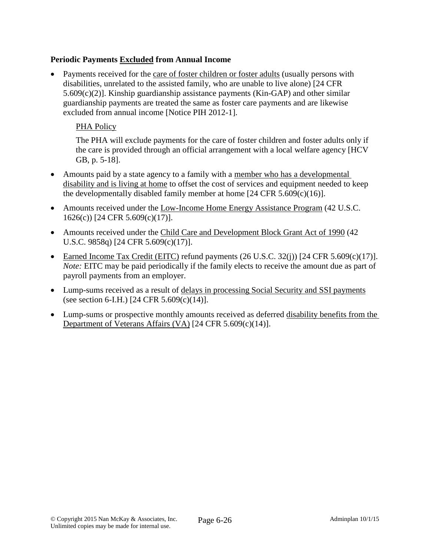# **Periodic Payments Excluded from Annual Income**

• Payments received for the care of foster children or foster adults (usually persons with disabilities, unrelated to the assisted family, who are unable to live alone) [24 CFR 5.609(c)(2)]. Kinship guardianship assistance payments (Kin-GAP) and other similar guardianship payments are treated the same as foster care payments and are likewise excluded from annual income [Notice PIH 2012-1].

## PHA Policy

The PHA will exclude payments for the care of foster children and foster adults only if the care is provided through an official arrangement with a local welfare agency [HCV GB, p. 5-18].

- Amounts paid by a state agency to a family with a member who has a developmental disability and is living at home to offset the cost of services and equipment needed to keep the developmentally disabled family member at home  $[24 \text{ CFR } 5.609(c)(16)].$
- Amounts received under the Low-Income Home Energy Assistance Program (42 U.S.C. 1626(c)) [24 CFR 5.609(c)(17)].
- Amounts received under the Child Care and Development Block Grant Act of 1990 (42) U.S.C. 9858q) [24 CFR 5.609(c)(17)].
- Earned Income Tax Credit (EITC) refund payments (26 U.S.C. 32(j)) [24 CFR 5.609(c)(17)]. *Note:* EITC may be paid periodically if the family elects to receive the amount due as part of payroll payments from an employer.
- Lump-sums received as a result of delays in processing Social Security and SSI payments (see section 6-I.H.) [24 CFR 5.609(c)(14)].
- Lump-sums or prospective monthly amounts received as deferred disability benefits from the Department of Veterans Affairs (VA) [24 CFR 5.609(c)(14)].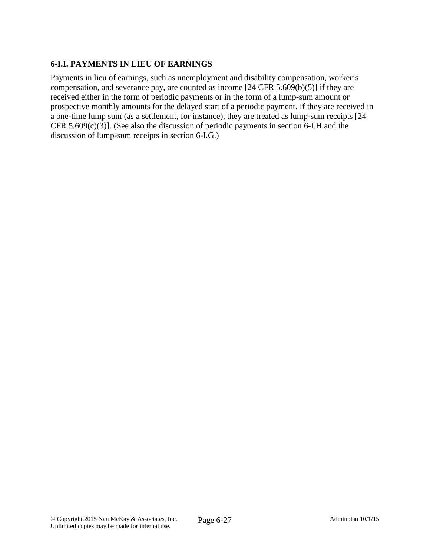# **6-I.I. PAYMENTS IN LIEU OF EARNINGS**

Payments in lieu of earnings, such as unemployment and disability compensation, worker's compensation, and severance pay, are counted as income [24 CFR 5.609(b)(5)] if they are received either in the form of periodic payments or in the form of a lump-sum amount or prospective monthly amounts for the delayed start of a periodic payment. If they are received in a one-time lump sum (as a settlement, for instance), they are treated as lump-sum receipts [24 CFR 5.609(c)(3)]. (See also the discussion of periodic payments in section 6-I.H and the discussion of lump-sum receipts in section 6-I.G.)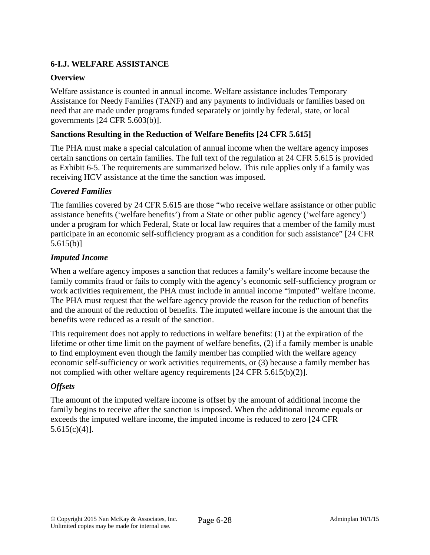# **6-I.J. WELFARE ASSISTANCE**

# **Overview**

Welfare assistance is counted in annual income. Welfare assistance includes Temporary Assistance for Needy Families (TANF) and any payments to individuals or families based on need that are made under programs funded separately or jointly by federal, state, or local governments [24 CFR 5.603(b)].

# **Sanctions Resulting in the Reduction of Welfare Benefits [24 CFR 5.615]**

The PHA must make a special calculation of annual income when the welfare agency imposes certain sanctions on certain families. The full text of the regulation at 24 CFR 5.615 is provided as Exhibit 6-5. The requirements are summarized below. This rule applies only if a family was receiving HCV assistance at the time the sanction was imposed.

## *Covered Families*

The families covered by 24 CFR 5.615 are those "who receive welfare assistance or other public assistance benefits ('welfare benefits') from a State or other public agency ('welfare agency') under a program for which Federal, State or local law requires that a member of the family must participate in an economic self-sufficiency program as a condition for such assistance" [24 CFR 5.615(b)]

### *Imputed Income*

When a welfare agency imposes a sanction that reduces a family's welfare income because the family commits fraud or fails to comply with the agency's economic self-sufficiency program or work activities requirement, the PHA must include in annual income "imputed" welfare income. The PHA must request that the welfare agency provide the reason for the reduction of benefits and the amount of the reduction of benefits. The imputed welfare income is the amount that the benefits were reduced as a result of the sanction.

This requirement does not apply to reductions in welfare benefits: (1) at the expiration of the lifetime or other time limit on the payment of welfare benefits, (2) if a family member is unable to find employment even though the family member has complied with the welfare agency economic self-sufficiency or work activities requirements, or (3) because a family member has not complied with other welfare agency requirements [24 CFR 5.615(b)(2)].

## *Offsets*

The amount of the imputed welfare income is offset by the amount of additional income the family begins to receive after the sanction is imposed. When the additional income equals or exceeds the imputed welfare income, the imputed income is reduced to zero [24 CFR  $5.615(c)(4)$ ].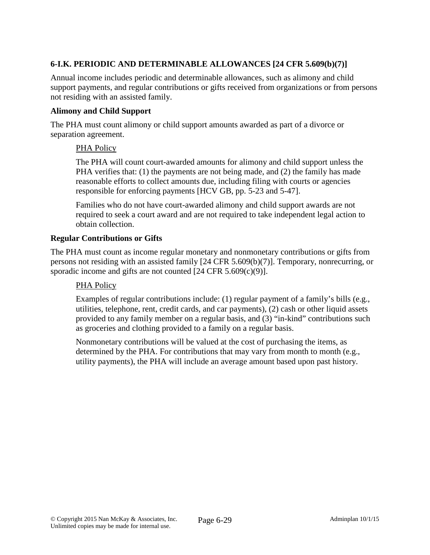# **6-I.K. PERIODIC AND DETERMINABLE ALLOWANCES [24 CFR 5.609(b)(7)]**

Annual income includes periodic and determinable allowances, such as alimony and child support payments, and regular contributions or gifts received from organizations or from persons not residing with an assisted family.

## **Alimony and Child Support**

The PHA must count alimony or child support amounts awarded as part of a divorce or separation agreement.

### PHA Policy

The PHA will count court-awarded amounts for alimony and child support unless the PHA verifies that: (1) the payments are not being made, and (2) the family has made reasonable efforts to collect amounts due, including filing with courts or agencies responsible for enforcing payments [HCV GB, pp. 5-23 and 5-47].

Families who do not have court-awarded alimony and child support awards are not required to seek a court award and are not required to take independent legal action to obtain collection.

### **Regular Contributions or Gifts**

The PHA must count as income regular monetary and nonmonetary contributions or gifts from persons not residing with an assisted family [24 CFR 5.609(b)(7)]. Temporary, nonrecurring, or sporadic income and gifts are not counted [24 CFR 5.609(c)(9)].

## PHA Policy

Examples of regular contributions include: (1) regular payment of a family's bills (e.g., utilities, telephone, rent, credit cards, and car payments), (2) cash or other liquid assets provided to any family member on a regular basis, and (3) "in-kind" contributions such as groceries and clothing provided to a family on a regular basis.

Nonmonetary contributions will be valued at the cost of purchasing the items, as determined by the PHA. For contributions that may vary from month to month (e.g., utility payments), the PHA will include an average amount based upon past history.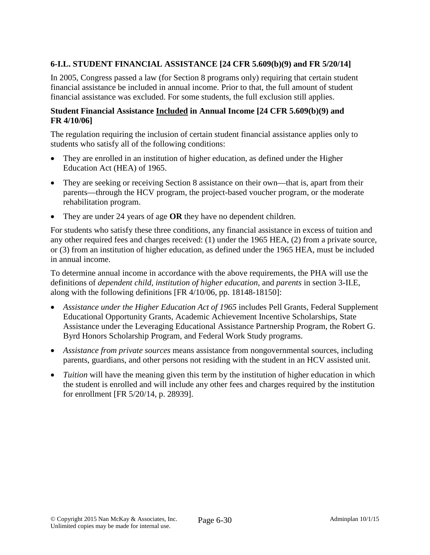# **6-I.L. STUDENT FINANCIAL ASSISTANCE [24 CFR 5.609(b)(9) and FR 5/20/14]**

In 2005, Congress passed a law (for Section 8 programs only) requiring that certain student financial assistance be included in annual income. Prior to that, the full amount of student financial assistance was excluded. For some students, the full exclusion still applies.

## **Student Financial Assistance Included in Annual Income [24 CFR 5.609(b)(9) and FR 4/10/06]**

The regulation requiring the inclusion of certain student financial assistance applies only to students who satisfy all of the following conditions:

- They are enrolled in an institution of higher education, as defined under the Higher Education Act (HEA) of 1965.
- They are seeking or receiving Section 8 assistance on their own—that is, apart from their parents—through the HCV program, the project-based voucher program, or the moderate rehabilitation program.
- They are under 24 years of age **OR** they have no dependent children.

For students who satisfy these three conditions, any financial assistance in excess of tuition and any other required fees and charges received: (1) under the 1965 HEA, (2) from a private source, or (3) from an institution of higher education, as defined under the 1965 HEA, must be included in annual income.

To determine annual income in accordance with the above requirements, the PHA will use the definitions of *dependent child, institution of higher education,* and *parents* in section 3-II.E, along with the following definitions [FR 4/10/06, pp. 18148-18150]:

- *Assistance under the Higher Education Act of 1965* includes Pell Grants, Federal Supplement Educational Opportunity Grants, Academic Achievement Incentive Scholarships, State Assistance under the Leveraging Educational Assistance Partnership Program, the Robert G. Byrd Honors Scholarship Program, and Federal Work Study programs.
- *Assistance from private sources* means assistance from nongovernmental sources, including parents, guardians, and other persons not residing with the student in an HCV assisted unit.
- *Tuition* will have the meaning given this term by the institution of higher education in which the student is enrolled and will include any other fees and charges required by the institution for enrollment [FR 5/20/14, p. 28939].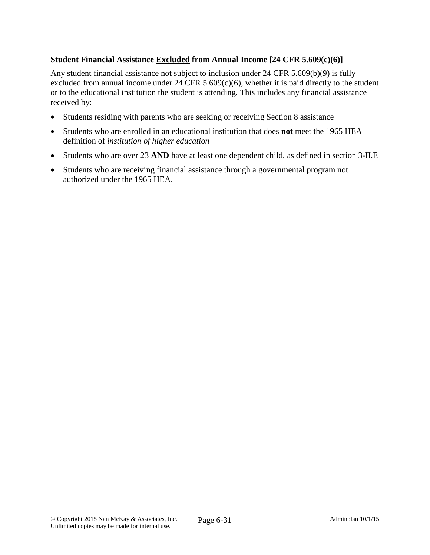# **Student Financial Assistance Excluded from Annual Income [24 CFR 5.609(c)(6)]**

Any student financial assistance not subject to inclusion under 24 CFR 5.609(b)(9) is fully excluded from annual income under  $24$  CFR  $5.609(c)(6)$ , whether it is paid directly to the student or to the educational institution the student is attending. This includes any financial assistance received by:

- Students residing with parents who are seeking or receiving Section 8 assistance
- Students who are enrolled in an educational institution that does **not** meet the 1965 HEA definition of *institution of higher education*
- Students who are over 23 **AND** have at least one dependent child, as defined in section 3-II.E
- Students who are receiving financial assistance through a governmental program not authorized under the 1965 HEA.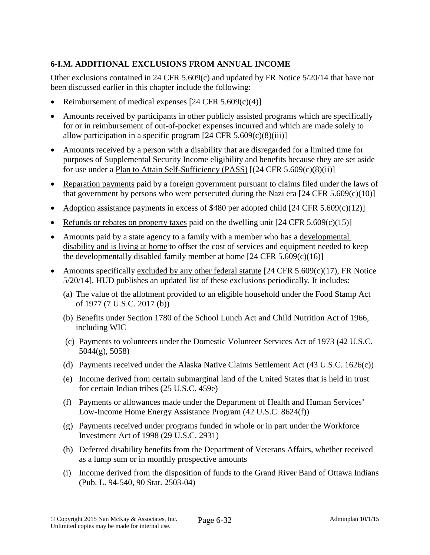# **6-I.M. ADDITIONAL EXCLUSIONS FROM ANNUAL INCOME**

Other exclusions contained in 24 CFR 5.609(c) and updated by FR Notice 5/20/14 that have not been discussed earlier in this chapter include the following:

- Reimbursement of medical expenses  $[24 \text{ CFR } 5.609(c)(4)]$
- Amounts received by participants in other publicly assisted programs which are specifically for or in reimbursement of out-of-pocket expenses incurred and which are made solely to allow participation in a specific program  $[24 \text{ CFR } 5.609(c)(8)(iii)]$
- Amounts received by a person with a disability that are disregarded for a limited time for purposes of Supplemental Security Income eligibility and benefits because they are set aside for use under a Plan to Attain Self-Sufficiency (PASS)  $[(24 \text{ CFR } 5.609(c)(8)(ii)]$
- Reparation payments paid by a foreign government pursuant to claims filed under the laws of that government by persons who were persecuted during the Nazi era  $[24 \text{ CFR } 5.609(c)(10)]$
- Adoption assistance payments in excess of \$480 per adopted child  $[24 \text{ CFR } 5.609 \text{ (c)}(12)]$
- Refunds or rebates on property taxes paid on the dwelling unit  $[24 \text{ CFR } 5.609 \text{ (c)}(15)]$
- Amounts paid by a state agency to a family with a member who has a developmental disability and is living at home to offset the cost of services and equipment needed to keep the developmentally disabled family member at home  $[24 \text{ CFR } 5.609(c)(16)]$
- Amounts specifically excluded by any other federal statute  $[24 \text{ CFR } 5.609 \text{ (c)} (17)$ , FR Notice 5/20/14]. HUD publishes an updated list of these exclusions periodically. It includes:
	- (a) The value of the allotment provided to an eligible household under the Food Stamp Act of 1977 (7 U.S.C. 2017 (b))
	- (b) Benefits under Section 1780 of the School Lunch Act and Child Nutrition Act of 1966, including WIC
	- (c) Payments to volunteers under the Domestic Volunteer Services Act of 1973 (42 U.S.C. 5044(g), 5058)
	- (d) Payments received under the Alaska Native Claims Settlement Act (43 U.S.C. 1626(c))
	- (e) Income derived from certain submarginal land of the United States that is held in trust for certain Indian tribes (25 U.S.C. 459e)
	- (f) Payments or allowances made under the Department of Health and Human Services' Low-Income Home Energy Assistance Program (42 U.S.C. 8624(f))
	- (g) Payments received under programs funded in whole or in part under the Workforce Investment Act of 1998 (29 U.S.C. 2931)
	- (h) Deferred disability benefits from the Department of Veterans Affairs, whether received as a lump sum or in monthly prospective amounts
	- (i) Income derived from the disposition of funds to the Grand River Band of Ottawa Indians (Pub. L. 94-540, 90 Stat. 2503-04)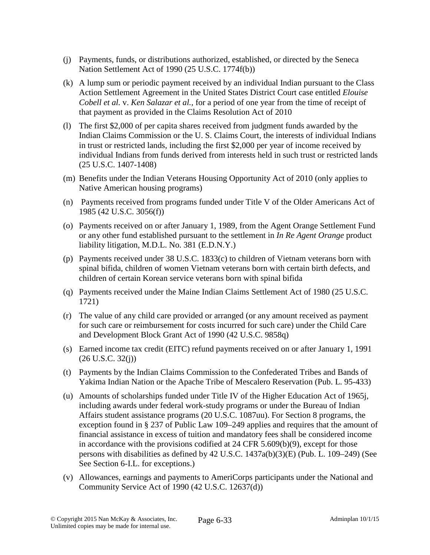- (j) Payments, funds, or distributions authorized, established, or directed by the Seneca Nation Settlement Act of 1990 (25 U.S.C. 1774f(b))
- (k) A lump sum or periodic payment received by an individual Indian pursuant to the Class Action Settlement Agreement in the United States District Court case entitled *Elouise Cobell et al.* v. *Ken Salazar et al.,* for a period of one year from the time of receipt of that payment as provided in the Claims Resolution Act of 2010
- (l) The first \$2,000 of per capita shares received from judgment funds awarded by the Indian Claims Commission or the U. S. Claims Court, the interests of individual Indians in trust or restricted lands, including the first \$2,000 per year of income received by individual Indians from funds derived from interests held in such trust or restricted lands (25 U.S.C. 1407-1408)
- (m) Benefits under the Indian Veterans Housing Opportunity Act of 2010 (only applies to Native American housing programs)
- (n) Payments received from programs funded under Title V of the Older Americans Act of 1985 (42 U.S.C. 3056(f))
- (o) Payments received on or after January 1, 1989, from the Agent Orange Settlement Fund or any other fund established pursuant to the settlement in *In Re Agent Orange* product liability litigation, M.D.L. No. 381 (E.D.N.Y.)
- (p) Payments received under 38 U.S.C. 1833(c) to children of Vietnam veterans born with spinal bifida, children of women Vietnam veterans born with certain birth defects, and children of certain Korean service veterans born with spinal bifida
- (q) Payments received under the Maine Indian Claims Settlement Act of 1980 (25 U.S.C. 1721)
- (r) The value of any child care provided or arranged (or any amount received as payment for such care or reimbursement for costs incurred for such care) under the Child Care and Development Block Grant Act of 1990 (42 U.S.C. 9858q)
- (s) Earned income tax credit (EITC) refund payments received on or after January 1, 1991  $(26 \text{ U.S.C. } 32(j))$
- (t) Payments by the Indian Claims Commission to the Confederated Tribes and Bands of Yakima Indian Nation or the Apache Tribe of Mescalero Reservation (Pub. L. 95-433)
- (u) Amounts of scholarships funded under Title IV of the Higher Education Act of 1965j, including awards under federal work-study programs or under the Bureau of Indian Affairs student assistance programs (20 U.S.C. 1087uu). For Section 8 programs, the exception found in § 237 of Public Law 109–249 applies and requires that the amount of financial assistance in excess of tuition and mandatory fees shall be considered income in accordance with the provisions codified at 24 CFR 5.609(b)(9), except for those persons with disabilities as defined by 42 U.S.C. 1437a(b)(3)(E) (Pub. L. 109–249) (See See Section 6-I.L. for exceptions.)
- (v) Allowances, earnings and payments to AmeriCorps participants under the National and Community Service Act of 1990 (42 U.S.C. 12637(d))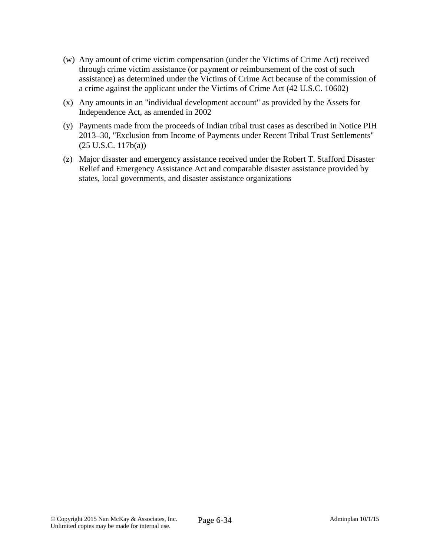- (w) Any amount of crime victim compensation (under the Victims of Crime Act) received through crime victim assistance (or payment or reimbursement of the cost of such assistance) as determined under the Victims of Crime Act because of the commission of a crime against the applicant under the Victims of Crime Act (42 U.S.C. 10602)
- (x) Any amounts in an "individual development account" as provided by the Assets for Independence Act, as amended in 2002
- (y) Payments made from the proceeds of Indian tribal trust cases as described in Notice PIH 2013–30, "Exclusion from Income of Payments under Recent Tribal Trust Settlements"  $(25 \text{ U.S.C. } 117b(a))$
- (z) Major disaster and emergency assistance received under the Robert T. Stafford Disaster Relief and Emergency Assistance Act and comparable disaster assistance provided by states, local governments, and disaster assistance organizations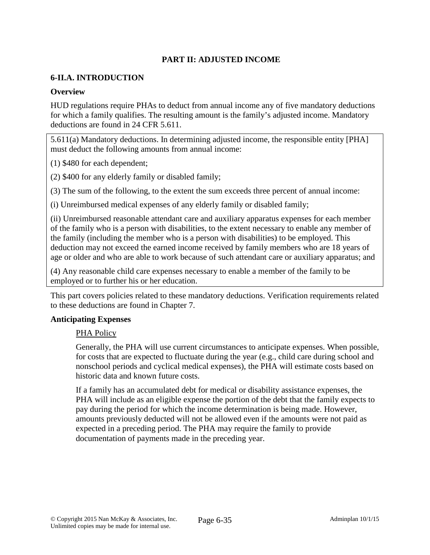# **PART II: ADJUSTED INCOME**

### **6-II.A. INTRODUCTION**

#### **Overview**

HUD regulations require PHAs to deduct from annual income any of five mandatory deductions for which a family qualifies. The resulting amount is the family's adjusted income. Mandatory deductions are found in 24 CFR 5.611.

5.611(a) Mandatory deductions. In determining adjusted income, the responsible entity [PHA] must deduct the following amounts from annual income:

(1) \$480 for each dependent;

(2) \$400 for any elderly family or disabled family;

(3) The sum of the following, to the extent the sum exceeds three percent of annual income:

(i) Unreimbursed medical expenses of any elderly family or disabled family;

(ii) Unreimbursed reasonable attendant care and auxiliary apparatus expenses for each member of the family who is a person with disabilities, to the extent necessary to enable any member of the family (including the member who is a person with disabilities) to be employed. This deduction may not exceed the earned income received by family members who are 18 years of age or older and who are able to work because of such attendant care or auxiliary apparatus; and

(4) Any reasonable child care expenses necessary to enable a member of the family to be employed or to further his or her education.

This part covers policies related to these mandatory deductions. Verification requirements related to these deductions are found in Chapter 7.

#### **Anticipating Expenses**

#### PHA Policy

Generally, the PHA will use current circumstances to anticipate expenses. When possible, for costs that are expected to fluctuate during the year (e.g., child care during school and nonschool periods and cyclical medical expenses), the PHA will estimate costs based on historic data and known future costs.

If a family has an accumulated debt for medical or disability assistance expenses, the PHA will include as an eligible expense the portion of the debt that the family expects to pay during the period for which the income determination is being made. However, amounts previously deducted will not be allowed even if the amounts were not paid as expected in a preceding period. The PHA may require the family to provide documentation of payments made in the preceding year.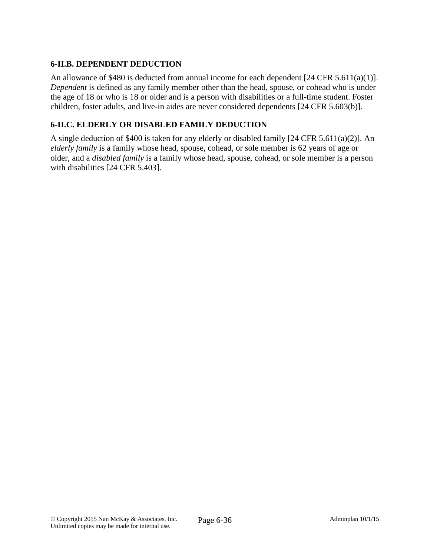# **6-II.B. DEPENDENT DEDUCTION**

An allowance of \$480 is deducted from annual income for each dependent [24 CFR 5.611(a)(1)]. *Dependent* is defined as any family member other than the head, spouse, or cohead who is under the age of 18 or who is 18 or older and is a person with disabilities or a full-time student. Foster children, foster adults, and live-in aides are never considered dependents [24 CFR 5.603(b)].

# **6-II.C. ELDERLY OR DISABLED FAMILY DEDUCTION**

A single deduction of \$400 is taken for any elderly or disabled family [24 CFR 5.611(a)(2)]. An *elderly family* is a family whose head, spouse, cohead, or sole member is 62 years of age or older, and a *disabled family* is a family whose head, spouse, cohead, or sole member is a person with disabilities [24 CFR 5.403].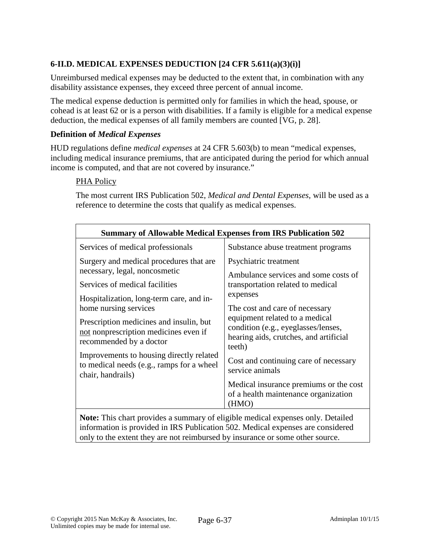# **6-II.D. MEDICAL EXPENSES DEDUCTION [24 CFR 5.611(a)(3)(i)]**

Unreimbursed medical expenses may be deducted to the extent that, in combination with any disability assistance expenses, they exceed three percent of annual income.

The medical expense deduction is permitted only for families in which the head, spouse, or cohead is at least 62 or is a person with disabilities. If a family is eligible for a medical expense deduction, the medical expenses of all family members are counted [VG, p. 28].

## **Definition of** *Medical Expenses*

HUD regulations define *medical expenses* at 24 CFR 5.603(b) to mean "medical expenses, including medical insurance premiums, that are anticipated during the period for which annual income is computed, and that are not covered by insurance."

#### PHA Policy

The most current IRS Publication 502, *Medical and Dental Expenses,* will be used as a reference to determine the costs that qualify as medical expenses.

| <b>Summary of Allowable Medical Expenses from IRS Publication 502</b>                                                                                                                                                                                                                                                                                                                                                                          |                                                                                                                                                                                                                                                                                                                                           |  |  |  |
|------------------------------------------------------------------------------------------------------------------------------------------------------------------------------------------------------------------------------------------------------------------------------------------------------------------------------------------------------------------------------------------------------------------------------------------------|-------------------------------------------------------------------------------------------------------------------------------------------------------------------------------------------------------------------------------------------------------------------------------------------------------------------------------------------|--|--|--|
| Services of medical professionals                                                                                                                                                                                                                                                                                                                                                                                                              | Substance abuse treatment programs                                                                                                                                                                                                                                                                                                        |  |  |  |
| Surgery and medical procedures that are<br>necessary, legal, noncosmetic                                                                                                                                                                                                                                                                                                                                                                       | Psychiatric treatment<br>Ambulance services and some costs of<br>transportation related to medical<br>expenses<br>The cost and care of necessary<br>equipment related to a medical<br>condition (e.g., eyeglasses/lenses,<br>hearing aids, crutches, and artificial<br>teeth)<br>Cost and continuing care of necessary<br>service animals |  |  |  |
| Services of medical facilities                                                                                                                                                                                                                                                                                                                                                                                                                 |                                                                                                                                                                                                                                                                                                                                           |  |  |  |
| Hospitalization, long-term care, and in-<br>home nursing services                                                                                                                                                                                                                                                                                                                                                                              |                                                                                                                                                                                                                                                                                                                                           |  |  |  |
| Prescription medicines and insulin, but<br>not nonprescription medicines even if<br>recommended by a doctor                                                                                                                                                                                                                                                                                                                                    |                                                                                                                                                                                                                                                                                                                                           |  |  |  |
| Improvements to housing directly related<br>to medical needs (e.g., ramps for a wheel<br>chair, handrails)                                                                                                                                                                                                                                                                                                                                     |                                                                                                                                                                                                                                                                                                                                           |  |  |  |
|                                                                                                                                                                                                                                                                                                                                                                                                                                                | Medical insurance premiums or the cost<br>of a health maintenance organization<br>(HMO)                                                                                                                                                                                                                                                   |  |  |  |
| Note: This chart provides a summary of eligible medical expenses only. Detailed<br>$\mathcal{L}$ $\mathcal{L}$ $\mathcal{L}$ $\mathcal{L}$ $\mathcal{L}$ $\mathcal{L}$ $\mathcal{L}$ $\mathcal{L}$ $\mathcal{L}$ $\mathcal{L}$ $\mathcal{L}$ $\mathcal{L}$ $\mathcal{L}$ $\mathcal{L}$ $\mathcal{L}$ $\mathcal{L}$ $\mathcal{L}$ $\mathcal{L}$ $\mathcal{L}$ $\mathcal{L}$ $\mathcal{L}$ $\mathcal{L}$ $\mathcal{L}$ $\mathcal{L}$ $\mathcal{$ |                                                                                                                                                                                                                                                                                                                                           |  |  |  |

information is provided in IRS Publication 502. Medical expenses are considered only to the extent they are not reimbursed by insurance or some other source.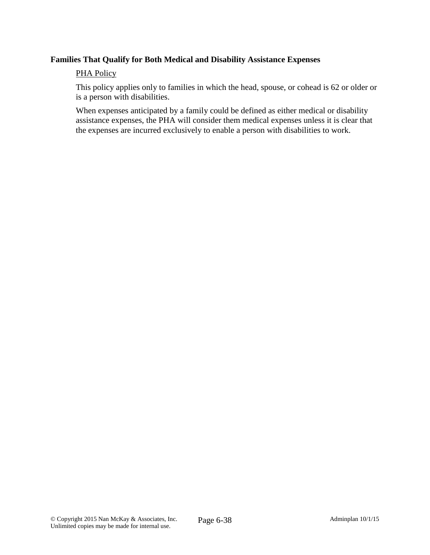## **Families That Qualify for Both Medical and Disability Assistance Expenses**

### PHA Policy

This policy applies only to families in which the head, spouse, or cohead is 62 or older or is a person with disabilities.

When expenses anticipated by a family could be defined as either medical or disability assistance expenses, the PHA will consider them medical expenses unless it is clear that the expenses are incurred exclusively to enable a person with disabilities to work.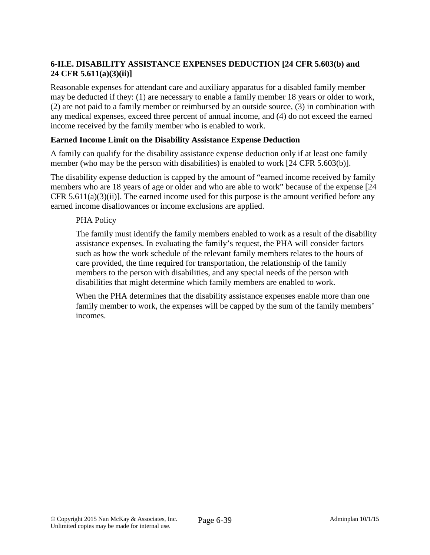# **6-II.E. DISABILITY ASSISTANCE EXPENSES DEDUCTION [24 CFR 5.603(b) and 24 CFR 5.611(a)(3)(ii)]**

Reasonable expenses for attendant care and auxiliary apparatus for a disabled family member may be deducted if they: (1) are necessary to enable a family member 18 years or older to work, (2) are not paid to a family member or reimbursed by an outside source, (3) in combination with any medical expenses, exceed three percent of annual income, and (4) do not exceed the earned income received by the family member who is enabled to work.

## **Earned Income Limit on the Disability Assistance Expense Deduction**

A family can qualify for the disability assistance expense deduction only if at least one family member (who may be the person with disabilities) is enabled to work [24 CFR 5.603(b)].

The disability expense deduction is capped by the amount of "earned income received by family members who are 18 years of age or older and who are able to work" because of the expense [24 CFR  $5.611(a)(3)(ii)$ . The earned income used for this purpose is the amount verified before any earned income disallowances or income exclusions are applied.

### PHA Policy

The family must identify the family members enabled to work as a result of the disability assistance expenses. In evaluating the family's request, the PHA will consider factors such as how the work schedule of the relevant family members relates to the hours of care provided, the time required for transportation, the relationship of the family members to the person with disabilities, and any special needs of the person with disabilities that might determine which family members are enabled to work.

When the PHA determines that the disability assistance expenses enable more than one family member to work, the expenses will be capped by the sum of the family members' incomes.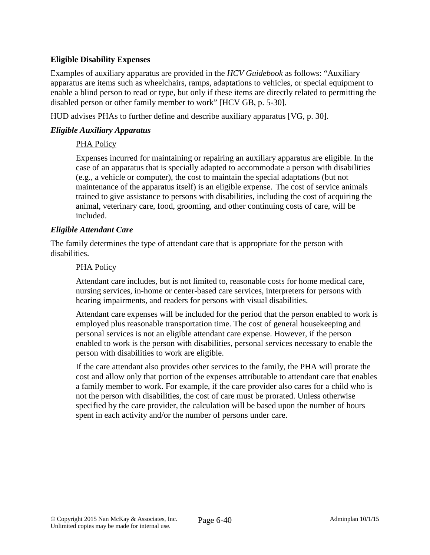# **Eligible Disability Expenses**

Examples of auxiliary apparatus are provided in the *HCV Guidebook* as follows: "Auxiliary apparatus are items such as wheelchairs, ramps, adaptations to vehicles, or special equipment to enable a blind person to read or type, but only if these items are directly related to permitting the disabled person or other family member to work" [HCV GB, p. 5-30].

HUD advises PHAs to further define and describe auxiliary apparatus [VG, p. 30].

## *Eligible Auxiliary Apparatus*

### PHA Policy

Expenses incurred for maintaining or repairing an auxiliary apparatus are eligible. In the case of an apparatus that is specially adapted to accommodate a person with disabilities (e.g., a vehicle or computer), the cost to maintain the special adaptations (but not maintenance of the apparatus itself) is an eligible expense. The cost of service animals trained to give assistance to persons with disabilities, including the cost of acquiring the animal, veterinary care, food, grooming, and other continuing costs of care, will be included.

### *Eligible Attendant Care*

The family determines the type of attendant care that is appropriate for the person with disabilities.

#### PHA Policy

Attendant care includes, but is not limited to, reasonable costs for home medical care, nursing services, in-home or center-based care services, interpreters for persons with hearing impairments, and readers for persons with visual disabilities.

Attendant care expenses will be included for the period that the person enabled to work is employed plus reasonable transportation time. The cost of general housekeeping and personal services is not an eligible attendant care expense. However, if the person enabled to work is the person with disabilities, personal services necessary to enable the person with disabilities to work are eligible.

If the care attendant also provides other services to the family, the PHA will prorate the cost and allow only that portion of the expenses attributable to attendant care that enables a family member to work. For example, if the care provider also cares for a child who is not the person with disabilities, the cost of care must be prorated. Unless otherwise specified by the care provider, the calculation will be based upon the number of hours spent in each activity and/or the number of persons under care.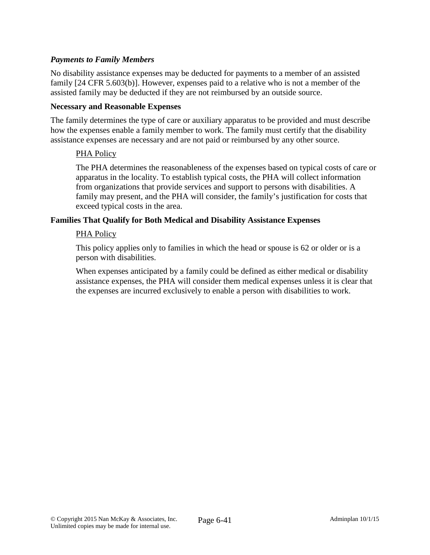## *Payments to Family Members*

No disability assistance expenses may be deducted for payments to a member of an assisted family [24 CFR 5.603(b)]. However, expenses paid to a relative who is not a member of the assisted family may be deducted if they are not reimbursed by an outside source.

#### **Necessary and Reasonable Expenses**

The family determines the type of care or auxiliary apparatus to be provided and must describe how the expenses enable a family member to work. The family must certify that the disability assistance expenses are necessary and are not paid or reimbursed by any other source.

#### PHA Policy

The PHA determines the reasonableness of the expenses based on typical costs of care or apparatus in the locality. To establish typical costs, the PHA will collect information from organizations that provide services and support to persons with disabilities. A family may present, and the PHA will consider, the family's justification for costs that exceed typical costs in the area.

#### **Families That Qualify for Both Medical and Disability Assistance Expenses**

#### PHA Policy

This policy applies only to families in which the head or spouse is 62 or older or is a person with disabilities.

When expenses anticipated by a family could be defined as either medical or disability assistance expenses, the PHA will consider them medical expenses unless it is clear that the expenses are incurred exclusively to enable a person with disabilities to work.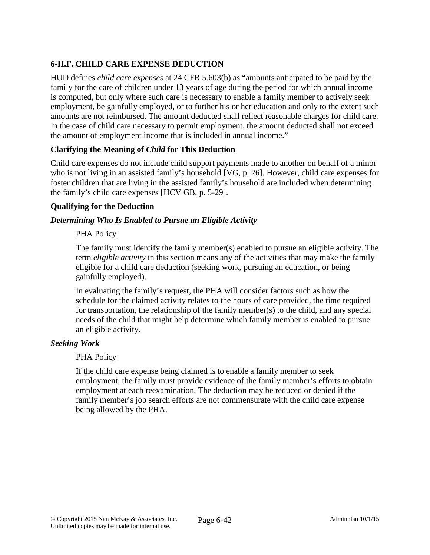# **6-II.F. CHILD CARE EXPENSE DEDUCTION**

HUD defines *child care expenses* at 24 CFR 5.603(b) as "amounts anticipated to be paid by the family for the care of children under 13 years of age during the period for which annual income is computed, but only where such care is necessary to enable a family member to actively seek employment, be gainfully employed, or to further his or her education and only to the extent such amounts are not reimbursed. The amount deducted shall reflect reasonable charges for child care. In the case of child care necessary to permit employment, the amount deducted shall not exceed the amount of employment income that is included in annual income."

## **Clarifying the Meaning of** *Child* **for This Deduction**

Child care expenses do not include child support payments made to another on behalf of a minor who is not living in an assisted family's household [VG, p. 26]. However, child care expenses for foster children that are living in the assisted family's household are included when determining the family's child care expenses [HCV GB, p. 5-29].

### **Qualifying for the Deduction**

## *Determining Who Is Enabled to Pursue an Eligible Activity*

### PHA Policy

The family must identify the family member(s) enabled to pursue an eligible activity. The term *eligible activity* in this section means any of the activities that may make the family eligible for a child care deduction (seeking work, pursuing an education, or being gainfully employed).

In evaluating the family's request, the PHA will consider factors such as how the schedule for the claimed activity relates to the hours of care provided, the time required for transportation, the relationship of the family member(s) to the child, and any special needs of the child that might help determine which family member is enabled to pursue an eligible activity.

#### *Seeking Work*

#### PHA Policy

If the child care expense being claimed is to enable a family member to seek employment, the family must provide evidence of the family member's efforts to obtain employment at each reexamination. The deduction may be reduced or denied if the family member's job search efforts are not commensurate with the child care expense being allowed by the PHA.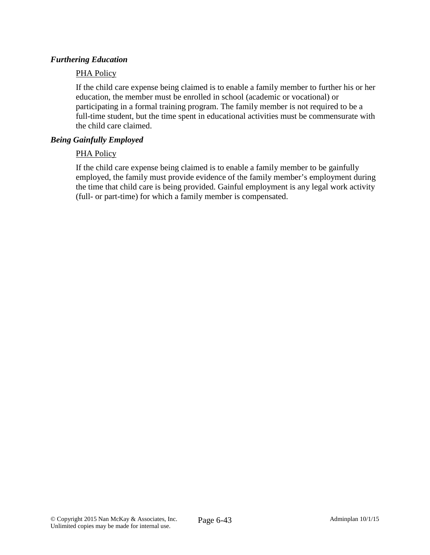### *Furthering Education*

### PHA Policy

If the child care expense being claimed is to enable a family member to further his or her education, the member must be enrolled in school (academic or vocational) or participating in a formal training program. The family member is not required to be a full-time student, but the time spent in educational activities must be commensurate with the child care claimed.

### *Being Gainfully Employed*

### PHA Policy

If the child care expense being claimed is to enable a family member to be gainfully employed, the family must provide evidence of the family member's employment during the time that child care is being provided. Gainful employment is any legal work activity (full- or part-time) for which a family member is compensated.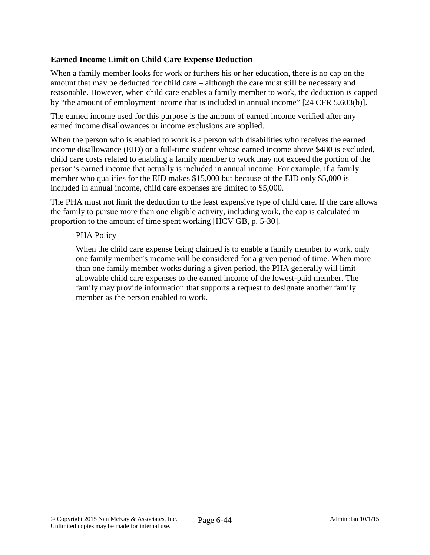## **Earned Income Limit on Child Care Expense Deduction**

When a family member looks for work or furthers his or her education, there is no cap on the amount that may be deducted for child care – although the care must still be necessary and reasonable. However, when child care enables a family member to work, the deduction is capped by "the amount of employment income that is included in annual income" [24 CFR 5.603(b)].

The earned income used for this purpose is the amount of earned income verified after any earned income disallowances or income exclusions are applied.

When the person who is enabled to work is a person with disabilities who receives the earned income disallowance (EID) or a full-time student whose earned income above \$480 is excluded, child care costs related to enabling a family member to work may not exceed the portion of the person's earned income that actually is included in annual income. For example, if a family member who qualifies for the EID makes \$15,000 but because of the EID only \$5,000 is included in annual income, child care expenses are limited to \$5,000.

The PHA must not limit the deduction to the least expensive type of child care. If the care allows the family to pursue more than one eligible activity, including work, the cap is calculated in proportion to the amount of time spent working [HCV GB, p. 5-30].

#### PHA Policy

When the child care expense being claimed is to enable a family member to work, only one family member's income will be considered for a given period of time. When more than one family member works during a given period, the PHA generally will limit allowable child care expenses to the earned income of the lowest-paid member. The family may provide information that supports a request to designate another family member as the person enabled to work.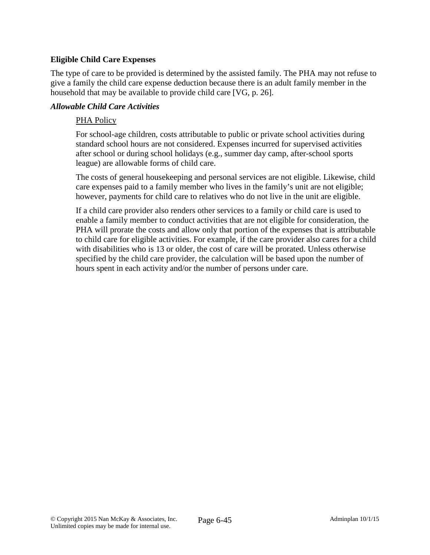## **Eligible Child Care Expenses**

The type of care to be provided is determined by the assisted family. The PHA may not refuse to give a family the child care expense deduction because there is an adult family member in the household that may be available to provide child care [VG, p. 26].

### *Allowable Child Care Activities*

### PHA Policy

For school-age children, costs attributable to public or private school activities during standard school hours are not considered. Expenses incurred for supervised activities after school or during school holidays (e.g., summer day camp, after-school sports league) are allowable forms of child care.

The costs of general housekeeping and personal services are not eligible. Likewise, child care expenses paid to a family member who lives in the family's unit are not eligible; however, payments for child care to relatives who do not live in the unit are eligible.

If a child care provider also renders other services to a family or child care is used to enable a family member to conduct activities that are not eligible for consideration, the PHA will prorate the costs and allow only that portion of the expenses that is attributable to child care for eligible activities. For example, if the care provider also cares for a child with disabilities who is 13 or older, the cost of care will be prorated. Unless otherwise specified by the child care provider, the calculation will be based upon the number of hours spent in each activity and/or the number of persons under care.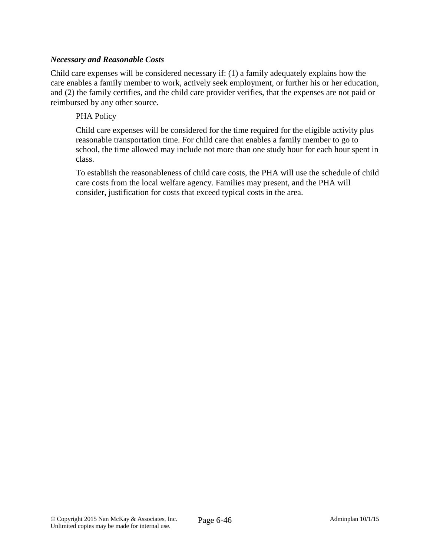## *Necessary and Reasonable Costs*

Child care expenses will be considered necessary if: (1) a family adequately explains how the care enables a family member to work, actively seek employment, or further his or her education, and (2) the family certifies, and the child care provider verifies, that the expenses are not paid or reimbursed by any other source.

### PHA Policy

Child care expenses will be considered for the time required for the eligible activity plus reasonable transportation time. For child care that enables a family member to go to school, the time allowed may include not more than one study hour for each hour spent in class.

To establish the reasonableness of child care costs, the PHA will use the schedule of child care costs from the local welfare agency. Families may present, and the PHA will consider, justification for costs that exceed typical costs in the area.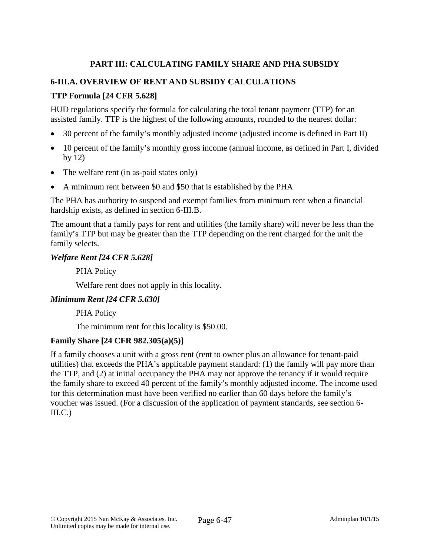# **PART III: CALCULATING FAMILY SHARE AND PHA SUBSIDY**

# **6-III.A. OVERVIEW OF RENT AND SUBSIDY CALCULATIONS**

# **TTP Formula [24 CFR 5.628]**

HUD regulations specify the formula for calculating the total tenant payment (TTP) for an assisted family. TTP is the highest of the following amounts, rounded to the nearest dollar:

- 30 percent of the family's monthly adjusted income (adjusted income is defined in Part II)
- 10 percent of the family's monthly gross income (annual income, as defined in Part I, divided by 12)
- The welfare rent (in as-paid states only)
- A minimum rent between \$0 and \$50 that is established by the PHA

The PHA has authority to suspend and exempt families from minimum rent when a financial hardship exists, as defined in section 6-III.B.

The amount that a family pays for rent and utilities (the family share) will never be less than the family's TTP but may be greater than the TTP depending on the rent charged for the unit the family selects.

### *Welfare Rent [24 CFR 5.628]*

### PHA Policy

Welfare rent does not apply in this locality.

## *Minimum Rent [24 CFR 5.630]*

#### PHA Policy

The minimum rent for this locality is \$50.00.

#### **Family Share [24 CFR 982.305(a)(5)]**

If a family chooses a unit with a gross rent (rent to owner plus an allowance for tenant-paid utilities) that exceeds the PHA's applicable payment standard: (1) the family will pay more than the TTP, and (2) at initial occupancy the PHA may not approve the tenancy if it would require the family share to exceed 40 percent of the family's monthly adjusted income. The income used for this determination must have been verified no earlier than 60 days before the family's voucher was issued. (For a discussion of the application of payment standards, see section 6-  $III.C.)$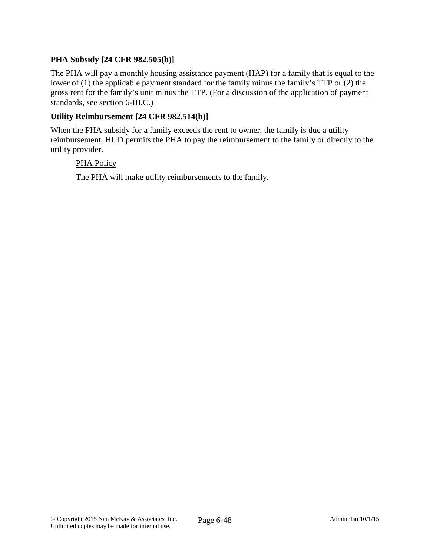# **PHA Subsidy [24 CFR 982.505(b)]**

The PHA will pay a monthly housing assistance payment (HAP) for a family that is equal to the lower of (1) the applicable payment standard for the family minus the family's TTP or (2) the gross rent for the family's unit minus the TTP. (For a discussion of the application of payment standards, see section 6-III.C.)

### **Utility Reimbursement [24 CFR 982.514(b)]**

When the PHA subsidy for a family exceeds the rent to owner, the family is due a utility reimbursement. HUD permits the PHA to pay the reimbursement to the family or directly to the utility provider.

#### PHA Policy

The PHA will make utility reimbursements to the family.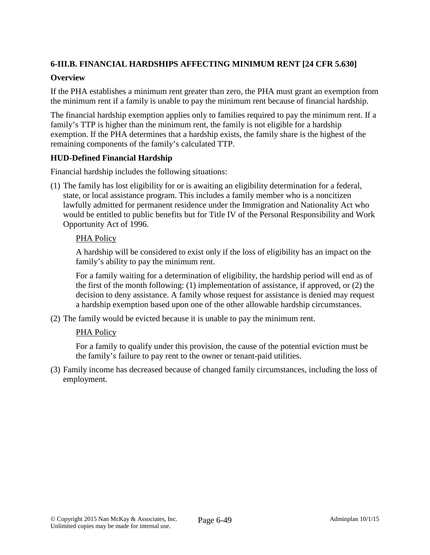# **6-III.B. FINANCIAL HARDSHIPS AFFECTING MINIMUM RENT [24 CFR 5.630]**

## **Overview**

If the PHA establishes a minimum rent greater than zero, the PHA must grant an exemption from the minimum rent if a family is unable to pay the minimum rent because of financial hardship.

The financial hardship exemption applies only to families required to pay the minimum rent. If a family's TTP is higher than the minimum rent, the family is not eligible for a hardship exemption. If the PHA determines that a hardship exists, the family share is the highest of the remaining components of the family's calculated TTP.

## **HUD-Defined Financial Hardship**

Financial hardship includes the following situations:

(1) The family has lost eligibility for or is awaiting an eligibility determination for a federal, state, or local assistance program. This includes a family member who is a noncitizen lawfully admitted for permanent residence under the Immigration and Nationality Act who would be entitled to public benefits but for Title IV of the Personal Responsibility and Work Opportunity Act of 1996.

### PHA Policy

A hardship will be considered to exist only if the loss of eligibility has an impact on the family's ability to pay the minimum rent.

For a family waiting for a determination of eligibility, the hardship period will end as of the first of the month following: (1) implementation of assistance, if approved, or (2) the decision to deny assistance. A family whose request for assistance is denied may request a hardship exemption based upon one of the other allowable hardship circumstances.

(2) The family would be evicted because it is unable to pay the minimum rent.

#### PHA Policy

For a family to qualify under this provision, the cause of the potential eviction must be the family's failure to pay rent to the owner or tenant-paid utilities.

(3) Family income has decreased because of changed family circumstances, including the loss of employment.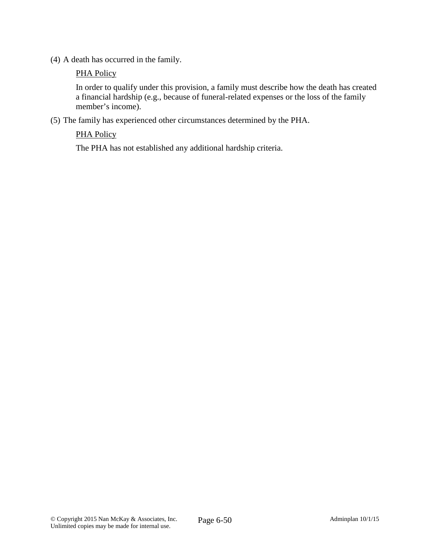(4) A death has occurred in the family.

### PHA Policy

In order to qualify under this provision, a family must describe how the death has created a financial hardship (e.g., because of funeral-related expenses or the loss of the family member's income).

(5) The family has experienced other circumstances determined by the PHA.

# **PHA Policy**

The PHA has not established any additional hardship criteria.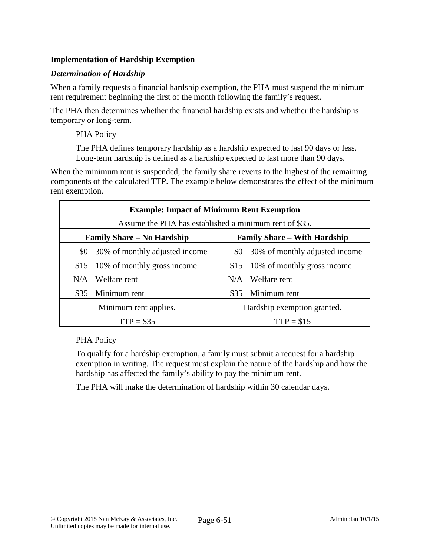# **Implementation of Hardship Exemption**

## *Determination of Hardship*

When a family requests a financial hardship exemption, the PHA must suspend the minimum rent requirement beginning the first of the month following the family's request.

The PHA then determines whether the financial hardship exists and whether the hardship is temporary or long-term.

## PHA Policy

The PHA defines temporary hardship as a hardship expected to last 90 days or less. Long-term hardship is defined as a hardship expected to last more than 90 days.

When the minimum rent is suspended, the family share reverts to the highest of the remaining components of the calculated TTP. The example below demonstrates the effect of the minimum rent exemption.

| <b>Example: Impact of Minimum Rent Exemption</b><br>Assume the PHA has established a minimum rent of \$35. |                                |                                     |                                    |  |
|------------------------------------------------------------------------------------------------------------|--------------------------------|-------------------------------------|------------------------------------|--|
| <b>Family Share – No Hardship</b>                                                                          |                                | <b>Family Share – With Hardship</b> |                                    |  |
| \$0                                                                                                        | 30% of monthly adjusted income |                                     | \$0 30% of monthly adjusted income |  |
| \$15                                                                                                       | 10% of monthly gross income    |                                     | \$15 10% of monthly gross income   |  |
| N/A                                                                                                        | Welfare rent                   | N/A                                 | Welfare rent                       |  |
| \$35                                                                                                       | Minimum rent                   | \$35                                | Minimum rent                       |  |
| Minimum rent applies.                                                                                      |                                | Hardship exemption granted.         |                                    |  |
| $TTP = $35$                                                                                                |                                | $TTP = $15$                         |                                    |  |

## PHA Policy

To qualify for a hardship exemption, a family must submit a request for a hardship exemption in writing. The request must explain the nature of the hardship and how the hardship has affected the family's ability to pay the minimum rent.

The PHA will make the determination of hardship within 30 calendar days.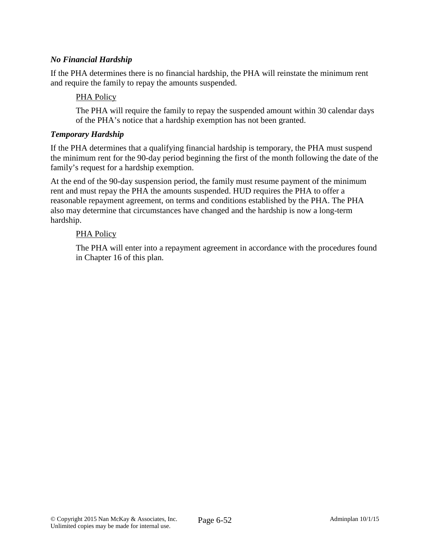# *No Financial Hardship*

If the PHA determines there is no financial hardship, the PHA will reinstate the minimum rent and require the family to repay the amounts suspended.

## PHA Policy

The PHA will require the family to repay the suspended amount within 30 calendar days of the PHA's notice that a hardship exemption has not been granted.

#### *Temporary Hardship*

If the PHA determines that a qualifying financial hardship is temporary, the PHA must suspend the minimum rent for the 90-day period beginning the first of the month following the date of the family's request for a hardship exemption.

At the end of the 90-day suspension period, the family must resume payment of the minimum rent and must repay the PHA the amounts suspended. HUD requires the PHA to offer a reasonable repayment agreement, on terms and conditions established by the PHA. The PHA also may determine that circumstances have changed and the hardship is now a long-term hardship.

### PHA Policy

The PHA will enter into a repayment agreement in accordance with the procedures found in Chapter 16 of this plan.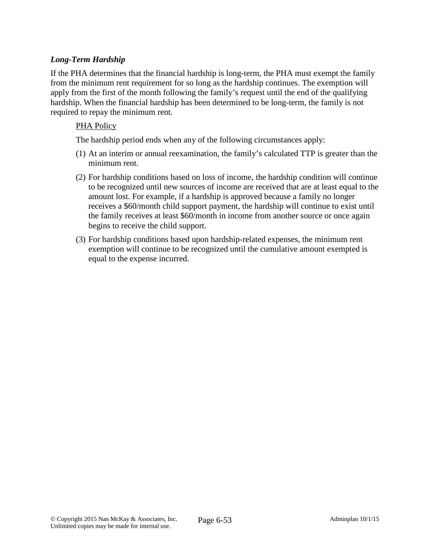# *Long-Term Hardship*

If the PHA determines that the financial hardship is long-term, the PHA must exempt the family from the minimum rent requirement for so long as the hardship continues. The exemption will apply from the first of the month following the family's request until the end of the qualifying hardship. When the financial hardship has been determined to be long-term, the family is not required to repay the minimum rent.

### PHA Policy

The hardship period ends when any of the following circumstances apply:

- (1) At an interim or annual reexamination, the family's calculated TTP is greater than the minimum rent.
- (2) For hardship conditions based on loss of income, the hardship condition will continue to be recognized until new sources of income are received that are at least equal to the amount lost. For example, if a hardship is approved because a family no longer receives a \$60/month child support payment, the hardship will continue to exist until the family receives at least \$60/month in income from another source or once again begins to receive the child support.
- (3) For hardship conditions based upon hardship-related expenses, the minimum rent exemption will continue to be recognized until the cumulative amount exempted is equal to the expense incurred.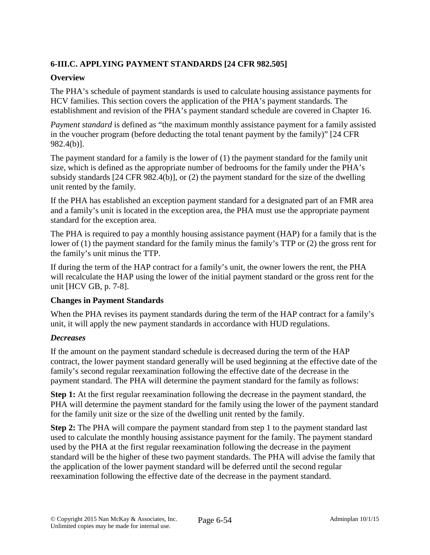# **6-III.C. APPLYING PAYMENT STANDARDS [24 CFR 982.505]**

# **Overview**

The PHA's schedule of payment standards is used to calculate housing assistance payments for HCV families. This section covers the application of the PHA's payment standards. The establishment and revision of the PHA's payment standard schedule are covered in Chapter 16.

*Payment standard* is defined as "the maximum monthly assistance payment for a family assisted in the voucher program (before deducting the total tenant payment by the family)" [24 CFR 982.4(b)].

The payment standard for a family is the lower of (1) the payment standard for the family unit size, which is defined as the appropriate number of bedrooms for the family under the PHA's subsidy standards [24 CFR 982.4(b)], or (2) the payment standard for the size of the dwelling unit rented by the family.

If the PHA has established an exception payment standard for a designated part of an FMR area and a family's unit is located in the exception area, the PHA must use the appropriate payment standard for the exception area.

The PHA is required to pay a monthly housing assistance payment (HAP) for a family that is the lower of (1) the payment standard for the family minus the family's TTP or (2) the gross rent for the family's unit minus the TTP.

If during the term of the HAP contract for a family's unit, the owner lowers the rent, the PHA will recalculate the HAP using the lower of the initial payment standard or the gross rent for the unit [HCV GB, p. 7-8].

## **Changes in Payment Standards**

When the PHA revises its payment standards during the term of the HAP contract for a family's unit, it will apply the new payment standards in accordance with HUD regulations.

# *Decreases*

If the amount on the payment standard schedule is decreased during the term of the HAP contract, the lower payment standard generally will be used beginning at the effective date of the family's second regular reexamination following the effective date of the decrease in the payment standard. The PHA will determine the payment standard for the family as follows:

**Step 1:** At the first regular reexamination following the decrease in the payment standard, the PHA will determine the payment standard for the family using the lower of the payment standard for the family unit size or the size of the dwelling unit rented by the family.

**Step 2:** The PHA will compare the payment standard from step 1 to the payment standard last used to calculate the monthly housing assistance payment for the family. The payment standard used by the PHA at the first regular reexamination following the decrease in the payment standard will be the higher of these two payment standards. The PHA will advise the family that the application of the lower payment standard will be deferred until the second regular reexamination following the effective date of the decrease in the payment standard.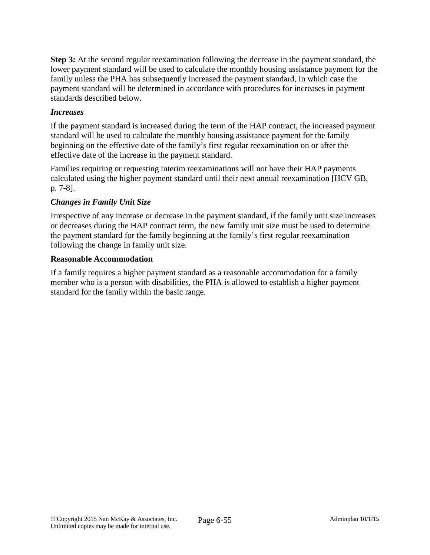**Step 3:** At the second regular reexamination following the decrease in the payment standard, the lower payment standard will be used to calculate the monthly housing assistance payment for the family unless the PHA has subsequently increased the payment standard, in which case the payment standard will be determined in accordance with procedures for increases in payment standards described below.

## *Increases*

If the payment standard is increased during the term of the HAP contract, the increased payment standard will be used to calculate the monthly housing assistance payment for the family beginning on the effective date of the family's first regular reexamination on or after the effective date of the increase in the payment standard.

Families requiring or requesting interim reexaminations will not have their HAP payments calculated using the higher payment standard until their next annual reexamination [HCV GB, p. 7-8].

## *Changes in Family Unit Size*

Irrespective of any increase or decrease in the payment standard, if the family unit size increases or decreases during the HAP contract term, the new family unit size must be used to determine the payment standard for the family beginning at the family's first regular reexamination following the change in family unit size.

### **Reasonable Accommodation**

If a family requires a higher payment standard as a reasonable accommodation for a family member who is a person with disabilities, the PHA is allowed to establish a higher payment standard for the family within the basic range.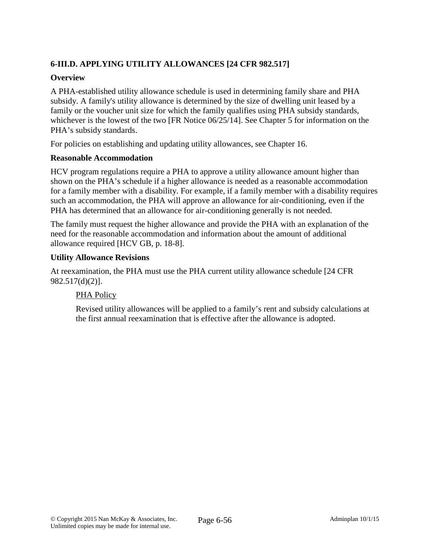# **6-III.D. APPLYING UTILITY ALLOWANCES [24 CFR 982.517]**

## **Overview**

A PHA-established utility allowance schedule is used in determining family share and PHA subsidy. A family's utility allowance is determined by the size of dwelling unit leased by a family or the voucher unit size for which the family qualifies using PHA subsidy standards, whichever is the lowest of the two [FR Notice 06/25/14]. See Chapter 5 for information on the PHA's subsidy standards.

For policies on establishing and updating utility allowances, see Chapter 16.

### **Reasonable Accommodation**

HCV program regulations require a PHA to approve a utility allowance amount higher than shown on the PHA's schedule if a higher allowance is needed as a reasonable accommodation for a family member with a disability. For example, if a family member with a disability requires such an accommodation, the PHA will approve an allowance for air-conditioning, even if the PHA has determined that an allowance for air-conditioning generally is not needed.

The family must request the higher allowance and provide the PHA with an explanation of the need for the reasonable accommodation and information about the amount of additional allowance required [HCV GB, p. 18-8].

### **Utility Allowance Revisions**

At reexamination, the PHA must use the PHA current utility allowance schedule [24 CFR 982.517(d)(2)].

## PHA Policy

Revised utility allowances will be applied to a family's rent and subsidy calculations at the first annual reexamination that is effective after the allowance is adopted.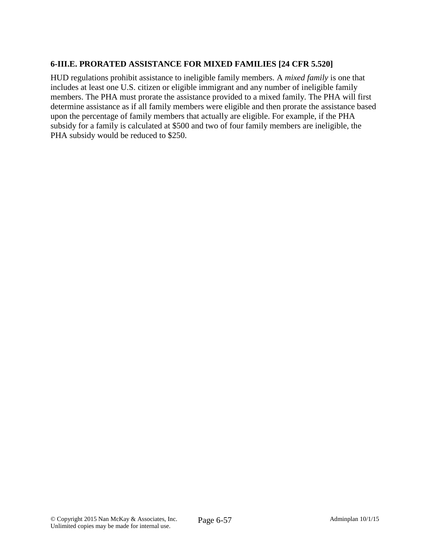# **6-III.E. PRORATED ASSISTANCE FOR MIXED FAMILIES [24 CFR 5.520]**

HUD regulations prohibit assistance to ineligible family members. A *mixed family* is one that includes at least one U.S. citizen or eligible immigrant and any number of ineligible family members. The PHA must prorate the assistance provided to a mixed family. The PHA will first determine assistance as if all family members were eligible and then prorate the assistance based upon the percentage of family members that actually are eligible. For example, if the PHA subsidy for a family is calculated at \$500 and two of four family members are ineligible, the PHA subsidy would be reduced to \$250.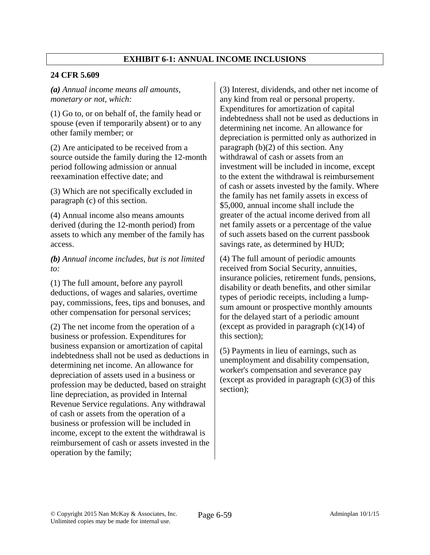# **EXHIBIT 6-1: ANNUAL INCOME INCLUSIONS**

### **24 CFR 5.609**

*(a) Annual income means all amounts, monetary or not, which:*

(1) Go to, or on behalf of, the family head or spouse (even if temporarily absent) or to any other family member; or

(2) Are anticipated to be received from a source outside the family during the 12-month period following admission or annual reexamination effective date; and

(3) Which are not specifically excluded in paragraph (c) of this section.

(4) Annual income also means amounts derived (during the 12-month period) from assets to which any member of the family has access.

*(b) Annual income includes, but is not limited to:*

(1) The full amount, before any payroll deductions, of wages and salaries, overtime pay, commissions, fees, tips and bonuses, and other compensation for personal services;

(2) The net income from the operation of a business or profession. Expenditures for business expansion or amortization of capital indebtedness shall not be used as deductions in determining net income. An allowance for depreciation of assets used in a business or profession may be deducted, based on straight line depreciation, as provided in Internal Revenue Service regulations. Any withdrawal of cash or assets from the operation of a business or profession will be included in income, except to the extent the withdrawal is reimbursement of cash or assets invested in the operation by the family;

(3) Interest, dividends, and other net income of any kind from real or personal property. Expenditures for amortization of capital indebtedness shall not be used as deductions in determining net income. An allowance for depreciation is permitted only as authorized in paragraph (b)(2) of this section. Any withdrawal of cash or assets from an investment will be included in income, except to the extent the withdrawal is reimbursement of cash or assets invested by the family. Where the family has net family assets in excess of \$5,000, annual income shall include the greater of the actual income derived from all net family assets or a percentage of the value of such assets based on the current passbook savings rate, as determined by HUD;

(4) The full amount of periodic amounts received from Social Security, annuities, insurance policies, retirement funds, pensions, disability or death benefits, and other similar types of periodic receipts, including a lumpsum amount or prospective monthly amounts for the delayed start of a periodic amount (except as provided in paragraph (c)(14) of this section);

(5) Payments in lieu of earnings, such as unemployment and disability compensation, worker's compensation and severance pay (except as provided in paragraph  $(c)(3)$  of this section);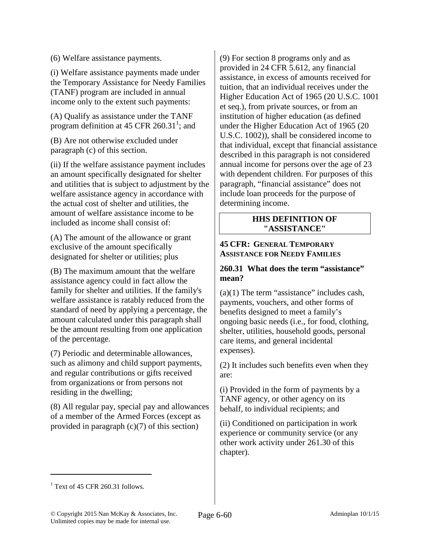(6) Welfare assistance payments.

(i) Welfare assistance payments made under the Temporary Assistance for Needy Families (TANF) program are included in annual income only to the extent such payments:

(A) Qualify as assistance under the TANF program definition at 45 CFR  $260.31<sup>1</sup>$ ; and

(B) Are not otherwise excluded under paragraph (c) of this section.

(ii) If the welfare assistance payment includes an amount specifically designated for shelter and utilities that is subject to adjustment by the welfare assistance agency in accordance with the actual cost of shelter and utilities, the amount of welfare assistance income to be included as income shall consist of:

(A) The amount of the allowance or grant exclusive of the amount specifically designated for shelter or utilities; plus

(B) The maximum amount that the welfare assistance agency could in fact allow the family for shelter and utilities. If the family's welfare assistance is ratably reduced from the standard of need by applying a percentage, the amount calculated under this paragraph shall be the amount resulting from one application of the percentage.

(7) Periodic and determinable allowances, such as alimony and child support payments, and regular contributions or gifts received from organizations or from persons not residing in the dwelling;

(8) All regular pay, special pay and allowances of a member of the Armed Forces (except as provided in paragraph  $(c)(7)$  of this section)

(9) For section 8 programs only and as provided in 24 CFR 5.612, any financial assistance, in excess of amounts received for tuition, that an individual receives under the Higher Education Act of 1965 (20 U.S.C. 1001 et seq.), from private sources, or from an institution of higher education (as defined under the Higher Education Act of 1965 (20 U.S.C. 1002)), shall be considered income to that individual, except that financial assistance described in this paragraph is not considered annual income for persons over the age of 23 with dependent children. For purposes of this paragraph, "financial assistance" does not include loan proceeds for the purpose of determining income.

### **HHS DEFINITION OF "ASSISTANCE"**

### **45 CFR: GENERAL TEMPORARY ASSISTANCE FOR NEEDY FAMILIES**

## **260.31 What does the term "assistance" mean?**

 $(a)(1)$  The term "assistance" includes cash, payments, vouchers, and other forms of benefits designed to meet a family's ongoing basic needs (i.e., for food, clothing, shelter, utilities, household goods, personal care items, and general incidental expenses).

(2) It includes such benefits even when they are:

(i) Provided in the form of payments by a TANF agency, or other agency on its behalf, to individual recipients; and

(ii) Conditioned on participation in work experience or community service (or any other work activity under 261.30 of this chapter).

 $1$  Text of 45 CFR 260.31 follows.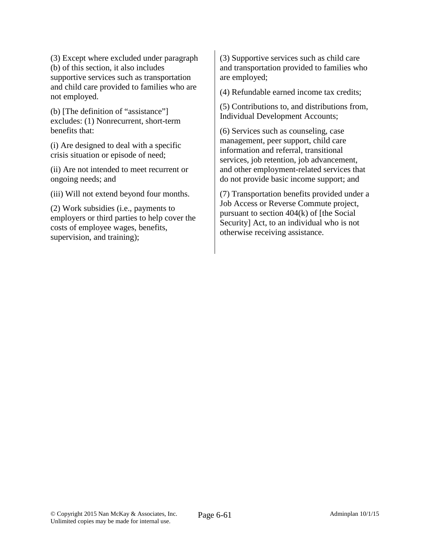(3) Except where excluded under paragraph (b) of this section, it also includes supportive services such as transportation and child care provided to families who are not employed.

(b) [The definition of "assistance"] excludes: (1) Nonrecurrent, short-term benefits that:

(i) Are designed to deal with a specific crisis situation or episode of need;

(ii) Are not intended to meet recurrent or ongoing needs; and

(iii) Will not extend beyond four months.

(2) Work subsidies (i.e., payments to employers or third parties to help cover the costs of employee wages, benefits, supervision, and training);

(3) Supportive services such as child care and transportation provided to families who are employed;

(4) Refundable earned income tax credits;

(5) Contributions to, and distributions from, Individual Development Accounts;

(6) Services such as counseling, case management, peer support, child care information and referral, transitional services, job retention, job advancement, and other employment-related services that do not provide basic income support; and

(7) Transportation benefits provided under a Job Access or Reverse Commute project, pursuant to section 404(k) of [the Social Security] Act, to an individual who is not otherwise receiving assistance.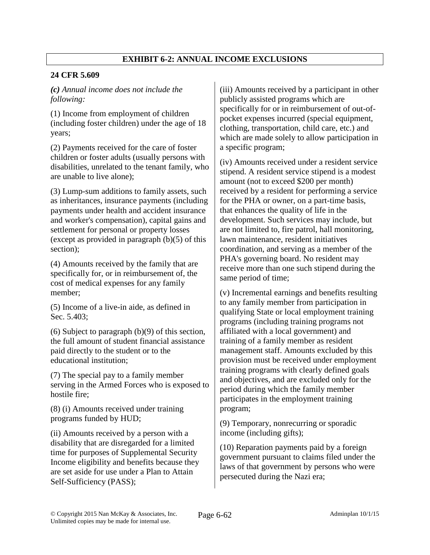# **EXHIBIT 6-2: ANNUAL INCOME EXCLUSIONS**

# **24 CFR 5.609**

*(c) Annual income does not include the following:*

(1) Income from employment of children (including foster children) under the age of 18 years;

(2) Payments received for the care of foster children or foster adults (usually persons with disabilities, unrelated to the tenant family, who are unable to live alone);

(3) Lump-sum additions to family assets, such as inheritances, insurance payments (including payments under health and accident insurance and worker's compensation), capital gains and settlement for personal or property losses (except as provided in paragraph  $(b)(5)$  of this section);

(4) Amounts received by the family that are specifically for, or in reimbursement of, the cost of medical expenses for any family member;

(5) Income of a live-in aide, as defined in Sec. 5.403;

(6) Subject to paragraph (b)(9) of this section, the full amount of student financial assistance paid directly to the student or to the educational institution;

(7) The special pay to a family member serving in the Armed Forces who is exposed to hostile fire;

(8) (i) Amounts received under training programs funded by HUD;

(ii) Amounts received by a person with a disability that are disregarded for a limited time for purposes of Supplemental Security Income eligibility and benefits because they are set aside for use under a Plan to Attain Self-Sufficiency (PASS);

(iii) Amounts received by a participant in other publicly assisted programs which are specifically for or in reimbursement of out-ofpocket expenses incurred (special equipment, clothing, transportation, child care, etc.) and which are made solely to allow participation in a specific program;

(iv) Amounts received under a resident service stipend. A resident service stipend is a modest amount (not to exceed \$200 per month) received by a resident for performing a service for the PHA or owner, on a part-time basis, that enhances the quality of life in the development. Such services may include, but are not limited to, fire patrol, hall monitoring, lawn maintenance, resident initiatives coordination, and serving as a member of the PHA's governing board. No resident may receive more than one such stipend during the same period of time;

(v) Incremental earnings and benefits resulting to any family member from participation in qualifying State or local employment training programs (including training programs not affiliated with a local government) and training of a family member as resident management staff. Amounts excluded by this provision must be received under employment training programs with clearly defined goals and objectives, and are excluded only for the period during which the family member participates in the employment training program;

(9) Temporary, nonrecurring or sporadic income (including gifts);

(10) Reparation payments paid by a foreign government pursuant to claims filed under the laws of that government by persons who were persecuted during the Nazi era;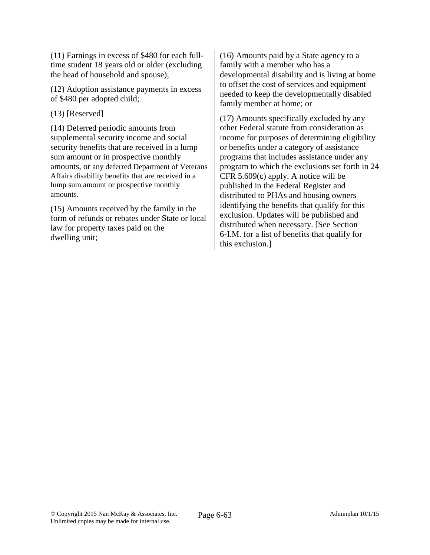(11) Earnings in excess of \$480 for each fulltime student 18 years old or older (excluding the head of household and spouse);

(12) Adoption assistance payments in excess of \$480 per adopted child;

(13) [Reserved]

(14) Deferred periodic amounts from supplemental security income and social security benefits that are received in a lump sum amount or in prospective monthly amounts, or any deferred Department of Veterans Affairs disability benefits that are received in a lump sum amount or prospective monthly amounts.

(15) Amounts received by the family in the form of refunds or rebates under State or local law for property taxes paid on the dwelling unit;

(16) Amounts paid by a State agency to a family with a member who has a developmental disability and is living at home to offset the cost of services and equipment needed to keep the developmentally disabled family member at home; or

(17) Amounts specifically excluded by any other Federal statute from consideration as income for purposes of determining eligibility or benefits under a category of assistance programs that includes assistance under any program to which the exclusions set forth in 24 CFR 5.609(c) apply. A notice will be published in the Federal Register and distributed to PHAs and housing owners identifying the benefits that qualify for this exclusion. Updates will be published and distributed when necessary. [See Section 6-I.M. for a list of benefits that qualify for this exclusion.]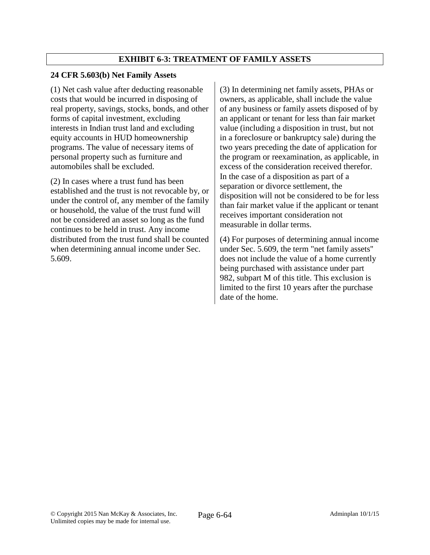# **EXHIBIT 6-3: TREATMENT OF FAMILY ASSETS**

## **24 CFR 5.603(b) Net Family Assets**

(1) Net cash value after deducting reasonable costs that would be incurred in disposing of real property, savings, stocks, bonds, and other forms of capital investment, excluding interests in Indian trust land and excluding equity accounts in HUD homeownership programs. The value of necessary items of personal property such as furniture and automobiles shall be excluded.

(2) In cases where a trust fund has been established and the trust is not revocable by, or under the control of, any member of the family or household, the value of the trust fund will not be considered an asset so long as the fund continues to be held in trust. Any income distributed from the trust fund shall be counted when determining annual income under Sec. 5.609.

(3) In determining net family assets, PHAs or owners, as applicable, shall include the value of any business or family assets disposed of by an applicant or tenant for less than fair market value (including a disposition in trust, but not in a foreclosure or bankruptcy sale) during the two years preceding the date of application for the program or reexamination, as applicable, in excess of the consideration received therefor. In the case of a disposition as part of a separation or divorce settlement, the disposition will not be considered to be for less than fair market value if the applicant or tenant receives important consideration not measurable in dollar terms.

(4) For purposes of determining annual income under Sec. 5.609, the term "net family assets'' does not include the value of a home currently being purchased with assistance under part 982, subpart M of this title. This exclusion is limited to the first 10 years after the purchase date of the home.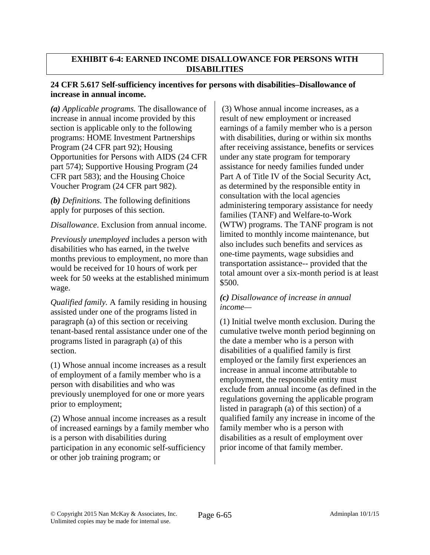## **EXHIBIT 6-4: EARNED INCOME DISALLOWANCE FOR PERSONS WITH DISABILITIES**

## **24 CFR 5.617 Self-sufficiency incentives for persons with disabilities–Disallowance of increase in annual income.**

*(a) Applicable programs.* The disallowance of increase in annual income provided by this section is applicable only to the following programs: HOME Investment Partnerships Program (24 CFR part 92); Housing Opportunities for Persons with AIDS (24 CFR part 574); Supportive Housing Program (24 CFR part 583); and the Housing Choice Voucher Program (24 CFR part 982).

*(b) Definitions.* The following definitions apply for purposes of this section.

*Disallowance*. Exclusion from annual income.

*Previously unemployed* includes a person with disabilities who has earned, in the twelve months previous to employment, no more than would be received for 10 hours of work per week for 50 weeks at the established minimum wage.

*Qualified family.* A family residing in housing assisted under one of the programs listed in paragraph (a) of this section or receiving tenant-based rental assistance under one of the programs listed in paragraph (a) of this section.

(1) Whose annual income increases as a result of employment of a family member who is a person with disabilities and who was previously unemployed for one or more years prior to employment;

(2) Whose annual income increases as a result of increased earnings by a family member who is a person with disabilities during participation in any economic self-sufficiency or other job training program; or

(3) Whose annual income increases, as a result of new employment or increased earnings of a family member who is a person with disabilities, during or within six months after receiving assistance, benefits or services under any state program for temporary assistance for needy families funded under Part A of Title IV of the Social Security Act, as determined by the responsible entity in consultation with the local agencies administering temporary assistance for needy families (TANF) and Welfare-to-Work (WTW) programs. The TANF program is not limited to monthly income maintenance, but also includes such benefits and services as one-time payments, wage subsidies and transportation assistance-- provided that the total amount over a six-month period is at least \$500.

## *(c) Disallowance of increase in annual income—*

(1) Initial twelve month exclusion. During the cumulative twelve month period beginning on the date a member who is a person with disabilities of a qualified family is first employed or the family first experiences an increase in annual income attributable to employment, the responsible entity must exclude from annual income (as defined in the regulations governing the applicable program listed in paragraph (a) of this section) of a qualified family any increase in income of the family member who is a person with disabilities as a result of employment over prior income of that family member.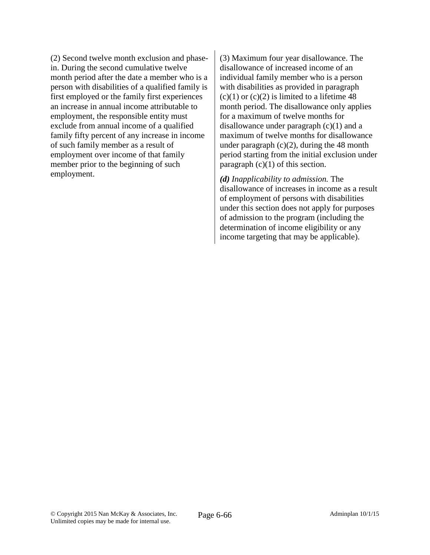(2) Second twelve month exclusion and phasein. During the second cumulative twelve month period after the date a member who is a person with disabilities of a qualified family is first employed or the family first experiences an increase in annual income attributable to employment, the responsible entity must exclude from annual income of a qualified family fifty percent of any increase in income of such family member as a result of employment over income of that family member prior to the beginning of such employment.

(3) Maximum four year disallowance. The disallowance of increased income of an individual family member who is a person with disabilities as provided in paragraph  $(c)(1)$  or  $(c)(2)$  is limited to a lifetime 48 month period. The disallowance only applies for a maximum of twelve months for disallowance under paragraph (c)(1) and a maximum of twelve months for disallowance under paragraph  $(c)(2)$ , during the 48 month period starting from the initial exclusion under paragraph  $(c)(1)$  of this section.

*(d) Inapplicability to admission.* The disallowance of increases in income as a result of employment of persons with disabilities under this section does not apply for purposes of admission to the program (including the determination of income eligibility or any income targeting that may be applicable).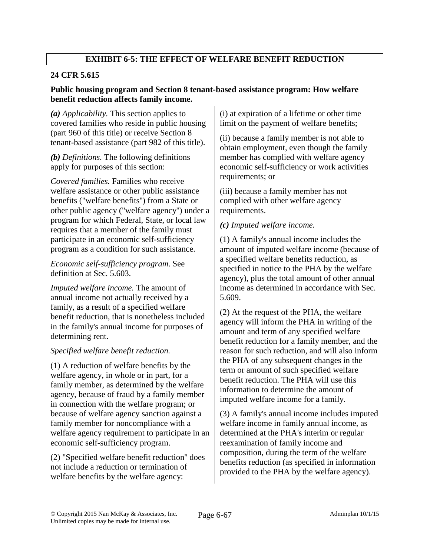# **EXHIBIT 6-5: THE EFFECT OF WELFARE BENEFIT REDUCTION**

# **24 CFR 5.615**

# **Public housing program and Section 8 tenant-based assistance program: How welfare benefit reduction affects family income.**

*(a) Applicability.* This section applies to covered families who reside in public housing (part 960 of this title) or receive Section 8 tenant-based assistance (part 982 of this title).

*(b) Definitions.* The following definitions apply for purposes of this section:

*Covered families.* Families who receive welfare assistance or other public assistance benefits ("welfare benefits'') from a State or other public agency ("welfare agency'') under a program for which Federal, State, or local law requires that a member of the family must participate in an economic self-sufficiency program as a condition for such assistance.

## *Economic self-sufficiency program*. See definition at Sec. 5.603.

*Imputed welfare income.* The amount of annual income not actually received by a family, as a result of a specified welfare benefit reduction, that is nonetheless included in the family's annual income for purposes of determining rent.

# *Specified welfare benefit reduction.*

(1) A reduction of welfare benefits by the welfare agency, in whole or in part, for a family member, as determined by the welfare agency, because of fraud by a family member in connection with the welfare program; or because of welfare agency sanction against a family member for noncompliance with a welfare agency requirement to participate in an economic self-sufficiency program.

(2) "Specified welfare benefit reduction'' does not include a reduction or termination of welfare benefits by the welfare agency:

(i) at expiration of a lifetime or other time limit on the payment of welfare benefits;

(ii) because a family member is not able to obtain employment, even though the family member has complied with welfare agency economic self-sufficiency or work activities requirements; or

(iii) because a family member has not complied with other welfare agency requirements.

*(c) Imputed welfare income.*

(1) A family's annual income includes the amount of imputed welfare income (because of a specified welfare benefits reduction, as specified in notice to the PHA by the welfare agency), plus the total amount of other annual income as determined in accordance with Sec. 5.609.

(2) At the request of the PHA, the welfare agency will inform the PHA in writing of the amount and term of any specified welfare benefit reduction for a family member, and the reason for such reduction, and will also inform the PHA of any subsequent changes in the term or amount of such specified welfare benefit reduction. The PHA will use this information to determine the amount of imputed welfare income for a family.

(3) A family's annual income includes imputed welfare income in family annual income, as determined at the PHA's interim or regular reexamination of family income and composition, during the term of the welfare benefits reduction (as specified in information provided to the PHA by the welfare agency).